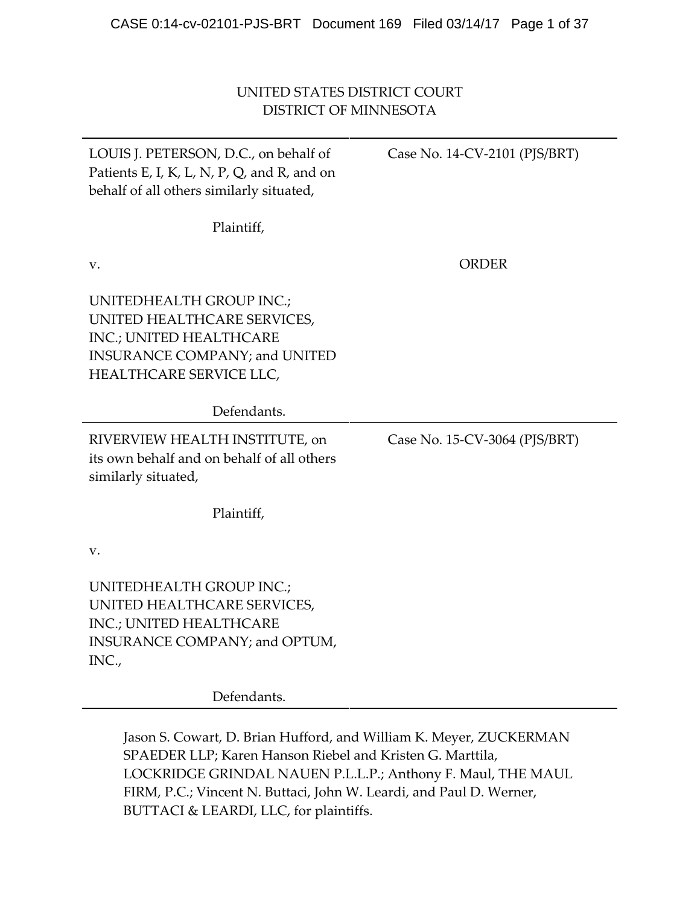# UNITED STATES DISTRICT COURT DISTRICT OF MINNESOTA

| LOUIS J. PETERSON, D.C., on behalf of<br>Patients E, I, K, L, N, P, Q, and R, and on<br>behalf of all others similarly situated,                      | Case No. 14-CV-2101 (PJS/BRT) |  |  |
|-------------------------------------------------------------------------------------------------------------------------------------------------------|-------------------------------|--|--|
| Plaintiff,                                                                                                                                            |                               |  |  |
| V.                                                                                                                                                    | <b>ORDER</b>                  |  |  |
| UNITEDHEALTH GROUP INC.;<br>UNITED HEALTHCARE SERVICES,<br>INC.; UNITED HEALTHCARE<br><b>INSURANCE COMPANY; and UNITED</b><br>HEALTHCARE SERVICE LLC, |                               |  |  |
| Defendants.                                                                                                                                           |                               |  |  |
| RIVERVIEW HEALTH INSTITUTE, on<br>its own behalf and on behalf of all others<br>similarly situated,                                                   | Case No. 15-CV-3064 (PJS/BRT) |  |  |
| Plaintiff,                                                                                                                                            |                               |  |  |
| v.                                                                                                                                                    |                               |  |  |
| UNITEDHEALTH GROUP INC.;<br>UNITED HEALTHCARE SERVICES,<br>INC.; UNITED HEALTHCARE<br>INSURANCE COMPANY; and OPTUM,<br>INC.,                          |                               |  |  |

Defendants.

Jason S. Cowart, D. Brian Hufford, and William K. Meyer, ZUCKERMAN SPAEDER LLP; Karen Hanson Riebel and Kristen G. Marttila, LOCKRIDGE GRINDAL NAUEN P.L.L.P.; Anthony F. Maul, THE MAUL FIRM, P.C.; Vincent N. Buttaci, John W. Leardi, and Paul D. Werner, BUTTACI & LEARDI, LLC, for plaintiffs.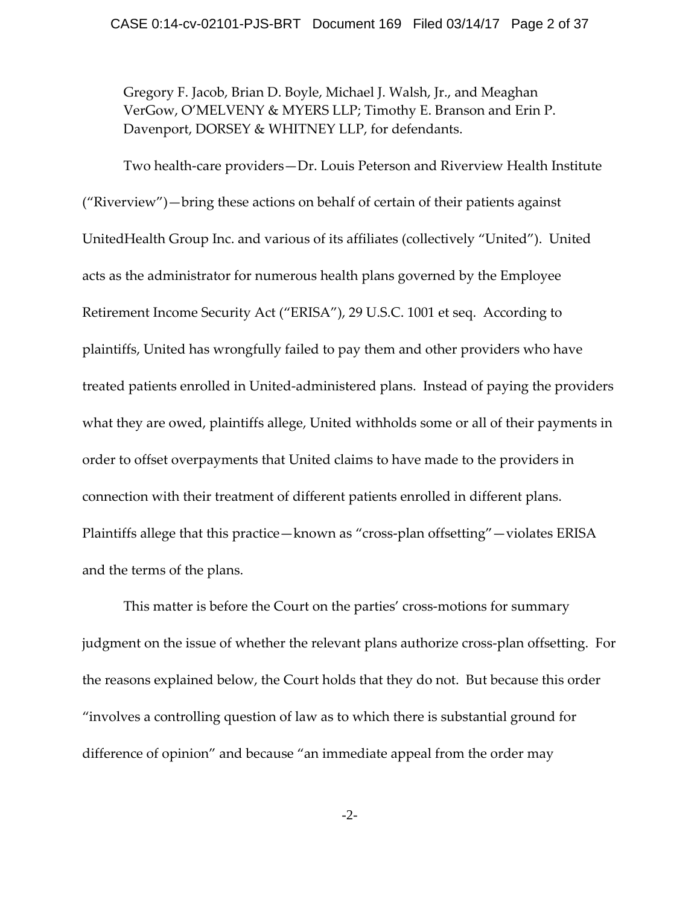Gregory F. Jacob, Brian D. Boyle, Michael J. Walsh, Jr., and Meaghan VerGow, O'MELVENY & MYERS LLP; Timothy E. Branson and Erin P. Davenport, DORSEY & WHITNEY LLP, for defendants.

Two health‐care providers—Dr. Louis Peterson and Riverview Health Institute ("Riverview")—bring these actions on behalf of certain of their patients against UnitedHealth Group Inc. and various of its affiliates (collectively "United"). United acts as the administrator for numerous health plans governed by the Employee Retirement Income Security Act ("ERISA"), 29 U.S.C. 1001 et seq. According to plaintiffs, United has wrongfully failed to pay them and other providers who have treated patients enrolled in United‐administered plans. Instead of paying the providers what they are owed, plaintiffs allege, United withholds some or all of their payments in order to offset overpayments that United claims to have made to the providers in connection with their treatment of different patients enrolled in different plans. Plaintiffs allege that this practice—known as "cross‐plan offsetting"—violates ERISA and the terms of the plans.

This matter is before the Court on the parties' cross-motions for summary judgment on the issue of whether the relevant plans authorize cross-plan offsetting. For the reasons explained below, the Court holds that they do not. But because this order "involves a controlling question of law as to which there is substantial ground for difference of opinion" and because "an immediate appeal from the order may

-2-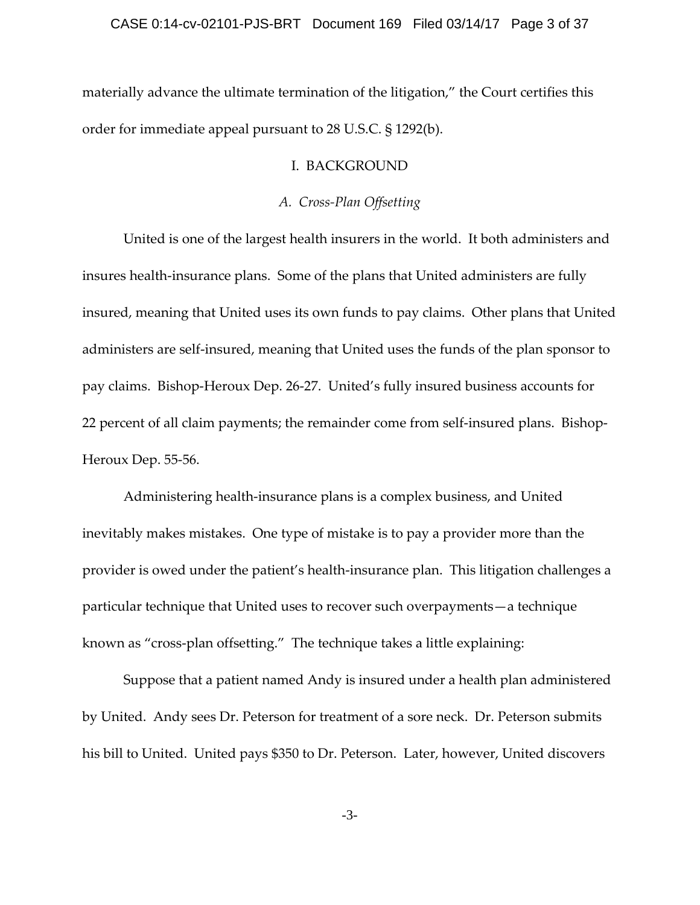materially advance the ultimate termination of the litigation," the Court certifies this order for immediate appeal pursuant to 28 U.S.C. § 1292(b).

### I. BACKGROUND

### *A. Cross‐Plan Offsetting*

United is one of the largest health insurers in the world. It both administers and insures health‐insurance plans. Some of the plans that United administers are fully insured, meaning that United uses its own funds to pay claims. Other plans that United administers are self‐insured, meaning that United uses the funds of the plan sponsor to pay claims. Bishop‐Heroux Dep. 26‐27. United's fully insured business accounts for 22 percent of all claim payments; the remainder come from self-insured plans. Bishop-Heroux Dep. 55‐56.

Administering health‐insurance plans is a complex business, and United inevitably makes mistakes. One type of mistake is to pay a provider more than the provider is owed under the patient's health‐insurance plan. This litigation challenges a particular technique that United uses to recover such overpayments—a technique known as "cross-plan offsetting." The technique takes a little explaining:

Suppose that a patient named Andy is insured under a health plan administered by United. Andy sees Dr. Peterson for treatment of a sore neck. Dr. Peterson submits his bill to United. United pays \$350 to Dr. Peterson. Later, however, United discovers

-3-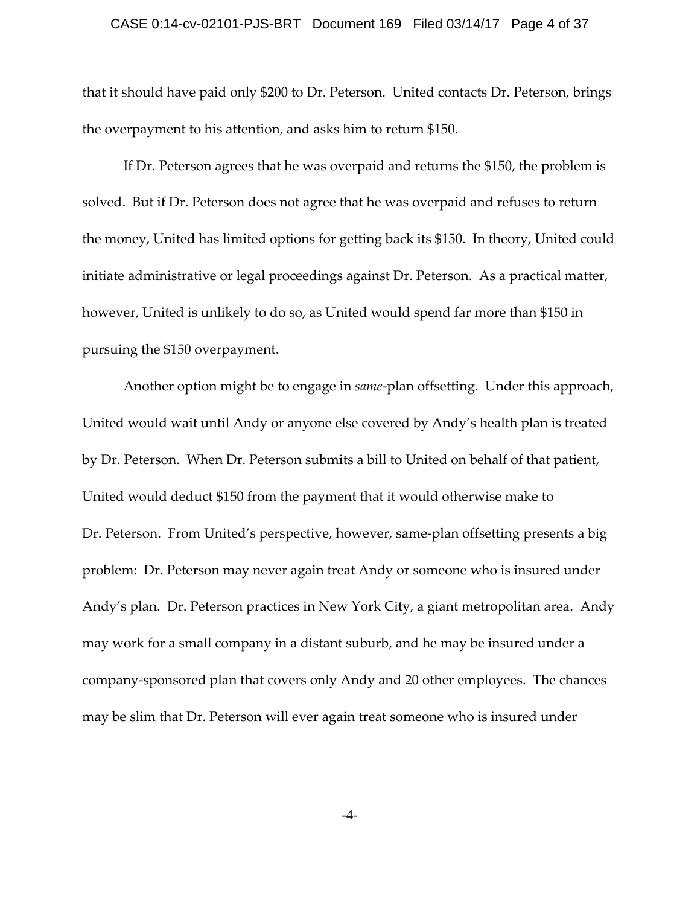#### CASE 0:14-cv-02101-PJS-BRT Document 169 Filed 03/14/17 Page 4 of 37

that it should have paid only \$200 to Dr. Peterson. United contacts Dr. Peterson, brings the overpayment to his attention, and asks him to return \$150.

If Dr. Peterson agrees that he was overpaid and returns the \$150, the problem is solved. But if Dr. Peterson does not agree that he was overpaid and refuses to return the money, United has limited options for getting back its \$150. In theory, United could initiate administrative or legal proceedings against Dr. Peterson. As a practical matter, however, United is unlikely to do so, as United would spend far more than \$150 in pursuing the \$150 overpayment.

Another option might be to engage in *same*‐plan offsetting. Under this approach, United would wait until Andy or anyone else covered by Andy's health plan is treated by Dr. Peterson. When Dr. Peterson submits a bill to United on behalf of that patient, United would deduct \$150 from the payment that it would otherwise make to Dr. Peterson. From United's perspective, however, same-plan offsetting presents a big problem: Dr. Peterson may never again treat Andy or someone who is insured under Andy's plan. Dr. Peterson practices in New York City, a giant metropolitan area. Andy may work for a small company in a distant suburb, and he may be insured under a company‐sponsored plan that covers only Andy and 20 other employees. The chances may be slim that Dr. Peterson will ever again treat someone who is insured under

-4-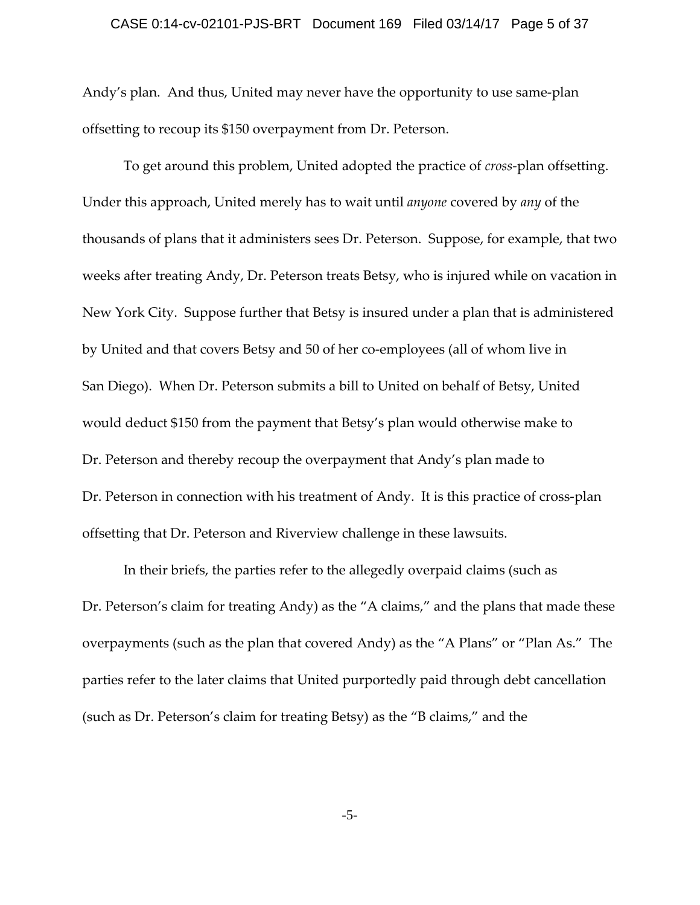#### CASE 0:14-cv-02101-PJS-BRT Document 169 Filed 03/14/17 Page 5 of 37

Andy's plan. And thus, United may never have the opportunity to use same‐plan offsetting to recoup its \$150 overpayment from Dr. Peterson.

To get around this problem, United adopted the practice of *cross*‐plan offsetting. Under this approach, United merely has to wait until *anyone* covered by *any* of the thousands of plans that it administers sees Dr. Peterson. Suppose, for example, that two weeks after treating Andy, Dr. Peterson treats Betsy, who is injured while on vacation in New York City. Suppose further that Betsy is insured under a plan that is administered by United and that covers Betsy and 50 of her co‐employees (all of whom live in San Diego). When Dr. Peterson submits a bill to United on behalf of Betsy, United would deduct \$150 from the payment that Betsy's plan would otherwise make to Dr. Peterson and thereby recoup the overpayment that Andy's plan made to Dr. Peterson in connection with his treatment of Andy. It is this practice of cross-plan offsetting that Dr. Peterson and Riverview challenge in these lawsuits.

In their briefs, the parties refer to the allegedly overpaid claims (such as Dr. Peterson's claim for treating Andy) as the "A claims," and the plans that made these overpayments (such as the plan that covered Andy) as the "A Plans" or "Plan As." The parties refer to the later claims that United purportedly paid through debt cancellation (such as Dr. Peterson's claim for treating Betsy) as the "B claims," and the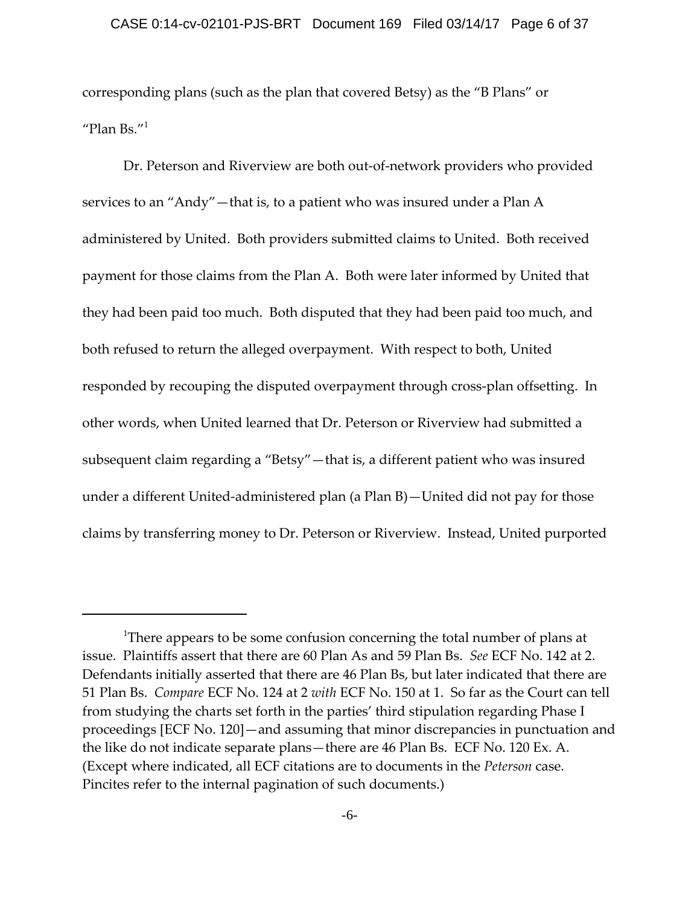corresponding plans (such as the plan that covered Betsy) as the "B Plans" or "Plan Bs." $1$ 

Dr. Peterson and Riverview are both out‐of‐network providers who provided services to an "Andy"—that is, to a patient who was insured under a Plan A administered by United. Both providers submitted claims to United. Both received payment for those claims from the Plan A. Both were later informed by United that they had been paid too much. Both disputed that they had been paid too much, and both refused to return the alleged overpayment. With respect to both, United responded by recouping the disputed overpayment through cross-plan offsetting. In other words, when United learned that Dr. Peterson or Riverview had submitted a subsequent claim regarding a "Betsy"—that is, a different patient who was insured under a different United‐administered plan (a Plan B)—United did not pay for those claims by transferring money to Dr. Peterson or Riverview. Instead, United purported

 $^{\text{1}}$ There appears to be some confusion concerning the total number of plans at issue. Plaintiffs assert that there are 60 Plan As and 59 Plan Bs. *See* ECF No. 142 at 2. Defendants initially asserted that there are 46 Plan Bs, but later indicated that there are 51 Plan Bs. *Compare* ECF No. 124 at 2 *with* ECF No. 150 at 1. So far as the Court can tell from studying the charts set forth in the parties' third stipulation regarding Phase I proceedings [ECF No. 120]—and assuming that minor discrepancies in punctuation and the like do not indicate separate plans—there are 46 Plan Bs. ECF No. 120 Ex. A. (Except where indicated, all ECF citations are to documents in the *Peterson* case. Pincites refer to the internal pagination of such documents.)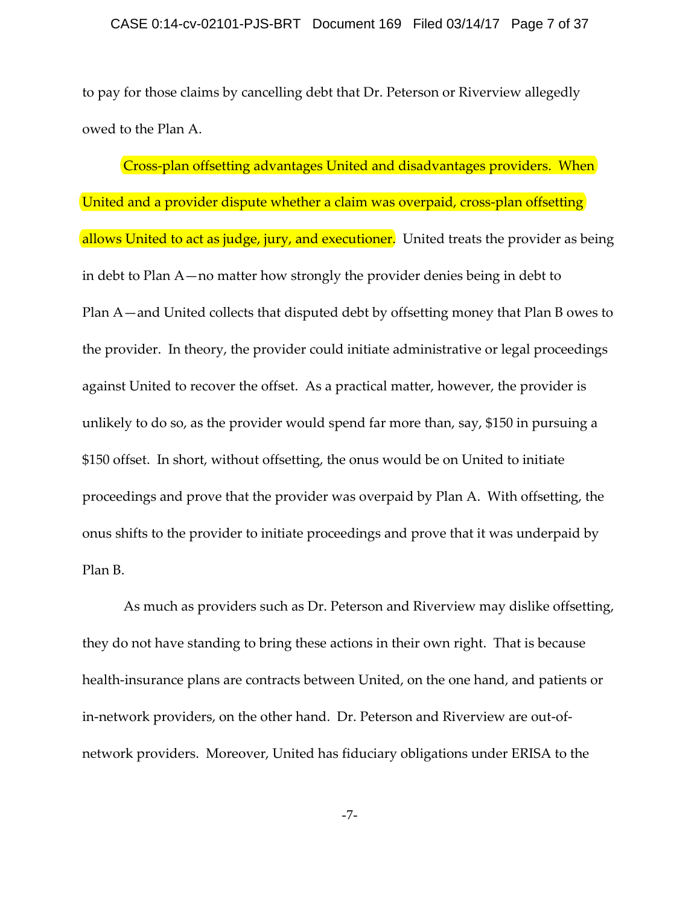to pay for those claims by cancelling debt that Dr. Peterson or Riverview allegedly owed to the Plan A.

Cross-plan offsetting advantages United and disadvantages providers. When United and a provider dispute whether a claim was overpaid, cross-plan offsetting allows United to act as judge, jury, and executioner. United treats the provider as being in debt to Plan A—no matter how strongly the provider denies being in debt to Plan A—and United collects that disputed debt by offsetting money that Plan B owes to the provider. In theory, the provider could initiate administrative or legal proceedings against United to recover the offset. As a practical matter, however, the provider is unlikely to do so, as the provider would spend far more than, say, \$150 in pursuing a \$150 offset. In short, without offsetting, the onus would be on United to initiate proceedings and prove that the provider was overpaid by Plan A. With offsetting, the onus shifts to the provider to initiate proceedings and prove that it was underpaid by Plan B.

As much as providers such as Dr. Peterson and Riverview may dislike offsetting, they do not have standing to bring these actions in their own right. That is because health-insurance plans are contracts between United, on the one hand, and patients or in-network providers, on the other hand. Dr. Peterson and Riverview are out-ofnetwork providers. Moreover, United has fiduciary obligations under ERISA to the

-7-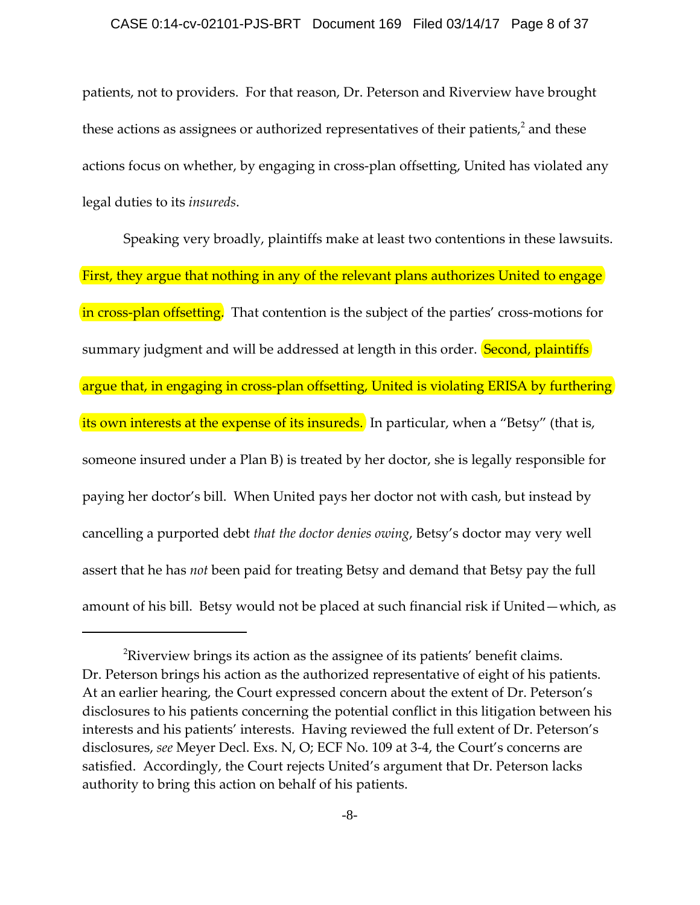patients, not to providers. For that reason, Dr. Peterson and Riverview have brought these actions as assignees or authorized representatives of their patients, $2$  and these actions focus on whether, by engaging in cross‐plan offsetting, United has violated any legal duties to its *insureds*.

Speaking very broadly, plaintiffs make at least two contentions in these lawsuits. First, they argue that nothing in any of the relevant plans authorizes United to engage in cross-plan offsetting. That contention is the subject of the parties' cross-motions for summary judgment and will be addressed at length in this order. **Second, plaintiffs** argue that, in engaging in cross-plan offsetting, United is violating ERISA by furthering its own interests at the expense of its insureds. In particular, when a "Betsy" (that is, someone insured under a Plan B) is treated by her doctor, she is legally responsible for paying her doctor's bill. When United pays her doctor not with cash, but instead by cancelling a purported debt *that the doctor denies owing*, Betsy's doctor may very well assert that he has *not* been paid for treating Betsy and demand that Betsy pay the full amount of his bill. Betsy would not be placed at such financial risk if United—which, as

 ${}^{2}$ Riverview brings its action as the assignee of its patients' benefit claims. Dr. Peterson brings his action as the authorized representative of eight of his patients. At an earlier hearing, the Court expressed concern about the extent of Dr. Peterson's disclosures to his patients concerning the potential conflict in this litigation between his interests and his patients' interests. Having reviewed the full extent of Dr. Peterson's disclosures, *see* Meyer Decl. Exs. N, O; ECF No. 109 at 3‐4, the Court's concerns are satisfied. Accordingly, the Court rejects United's argument that Dr. Peterson lacks authority to bring this action on behalf of his patients.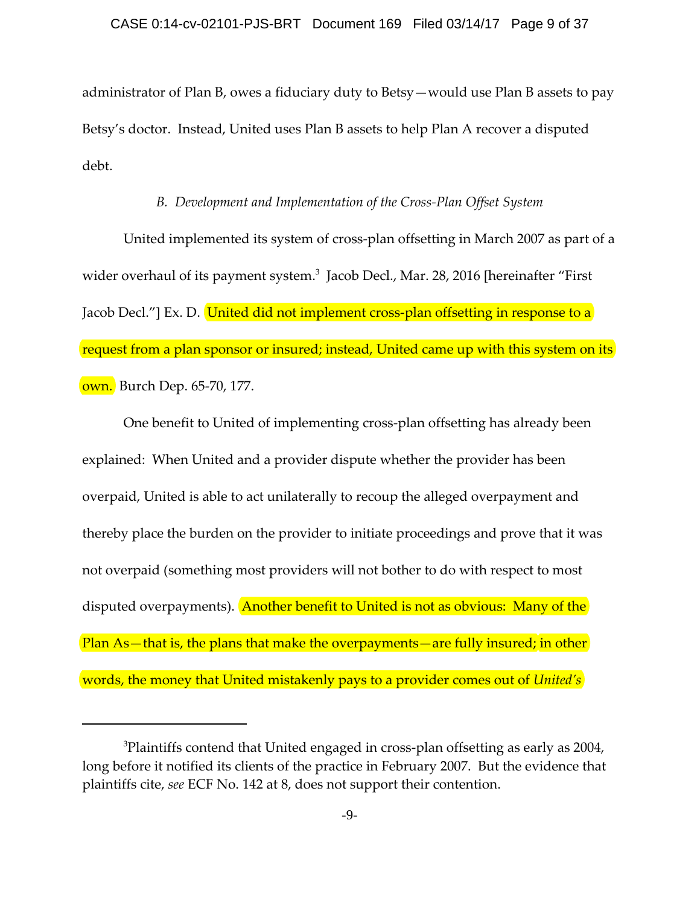administrator of Plan B, owes a fiduciary duty to Betsy—would use Plan B assets to pay Betsy's doctor. Instead, United uses Plan B assets to help Plan A recover a disputed debt.

## *B. Development and Implementation of the Cross‐Plan Offset System*

United implemented its system of cross‐plan offsetting in March 2007 as part of a wider overhaul of its payment system.<sup>3</sup> Jacob Decl., Mar. 28, 2016 [hereinafter "First Jacob Decl."] Ex. D. United did not implement cross-plan offsetting in response to a request from a plan sponsor or insured; instead, United came up with this system on its own. Burch Dep. 65‐70, 177.

One benefit to United of implementing cross‐plan offsetting has already been explained: When United and a provider dispute whether the provider has been overpaid, United is able to act unilaterally to recoup the alleged overpayment and thereby place the burden on the provider to initiate proceedings and prove that it was not overpaid (something most providers will not bother to do with respect to most disputed overpayments). Another benefit to United is not as obvious: Many of the Plan As—that is, the plans that make the overpayments—are fully insured; in other words, the money that United mistakenly pays to a provider comes out of *United's*

 $^3$ Plaintiffs contend that United engaged in cross-plan offsetting as early as 2004, long before it notified its clients of the practice in February 2007. But the evidence that plaintiffs cite, *see* ECF No. 142 at 8, does not support their contention.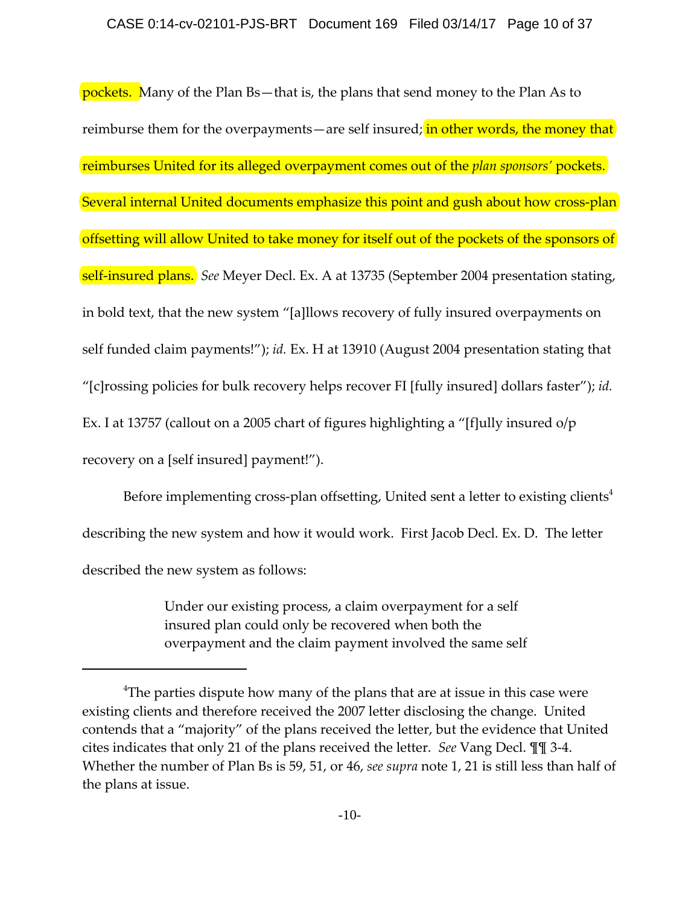pockets. Many of the Plan Bs-that is, the plans that send money to the Plan As to reimburse them for the overpayments—are self insured; in other words, the money that reimburses United for its alleged overpayment comes out of the *plan sponsors'* pockets. Several internal United documents emphasize this point and gush about how cross-plan offsetting will allow United to take money for itself out of the pockets of the sponsors of self‐insured plans. *See* Meyer Decl. Ex. A at 13735 (September 2004 presentation stating, in bold text, that the new system "[a]llows recovery of fully insured overpayments on self funded claim payments!"); *id.* Ex. H at 13910 (August 2004 presentation stating that "[c]rossing policies for bulk recovery helps recover FI [fully insured] dollars faster"); *id.* Ex. I at 13757 (callout on a 2005 chart of figures highlighting a "[f]ully insured o/p recovery on a [self insured] payment!").

Before implementing cross-plan offsetting, United sent a letter to existing clients<sup>4</sup> describing the new system and how it would work. First Jacob Decl. Ex. D. The letter described the new system as follows:

> Under our existing process, a claim overpayment for a self insured plan could only be recovered when both the overpayment and the claim payment involved the same self

 $^4$ The parties dispute how many of the plans that are at issue in this case were existing clients and therefore received the 2007 letter disclosing the change. United contends that a "majority" of the plans received the letter, but the evidence that United cites indicates that only 21 of the plans received the letter. *See* Vang Decl. ¶¶ 3‐4. Whether the number of Plan Bs is 59, 51, or 46, *see supra* note 1, 21 is still less than half of the plans at issue.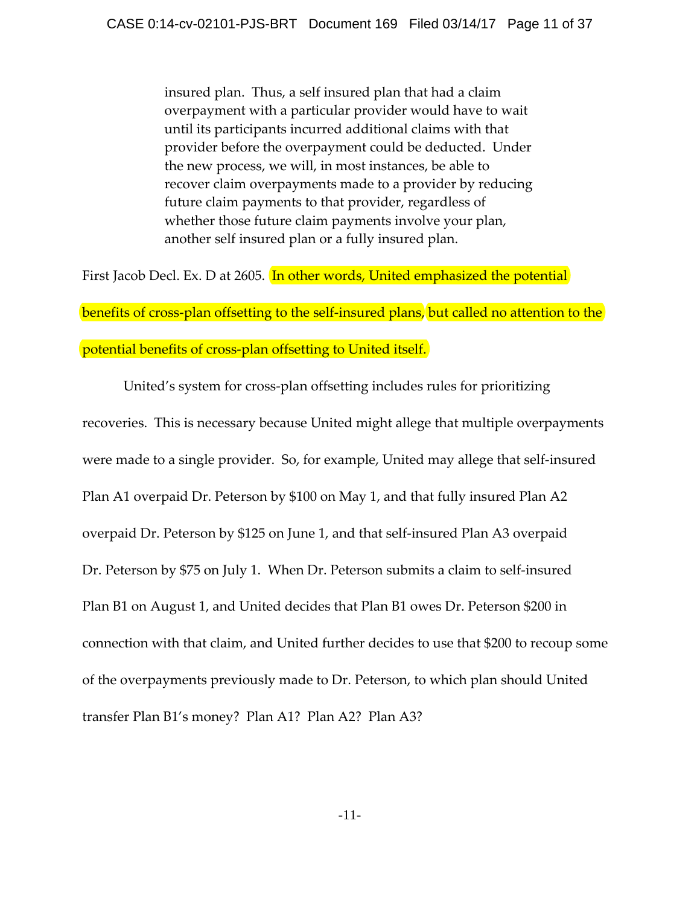insured plan. Thus, a self insured plan that had a claim overpayment with a particular provider would have to wait until its participants incurred additional claims with that provider before the overpayment could be deducted. Under the new process, we will, in most instances, be able to recover claim overpayments made to a provider by reducing future claim payments to that provider, regardless of whether those future claim payments involve your plan, another self insured plan or a fully insured plan.

First Jacob Decl. Ex. D at 2605. In other words, United emphasized the potential

benefits of cross-plan offsetting to the self-insured plans, but called no attention to the

## potential benefits of cross-plan offsetting to United itself.

United's system for cross‐plan offsetting includes rules for prioritizing recoveries. This is necessary because United might allege that multiple overpayments were made to a single provider. So, for example, United may allege that self-insured Plan A1 overpaid Dr. Peterson by \$100 on May 1, and that fully insured Plan A2 overpaid Dr. Peterson by \$125 on June 1, and that self‐insured Plan A3 overpaid Dr. Peterson by \$75 on July 1. When Dr. Peterson submits a claim to self-insured Plan B1 on August 1, and United decides that Plan B1 owes Dr. Peterson \$200 in connection with that claim, and United further decides to use that \$200 to recoup some of the overpayments previously made to Dr. Peterson, to which plan should United transfer Plan B1's money? Plan A1? Plan A2? Plan A3?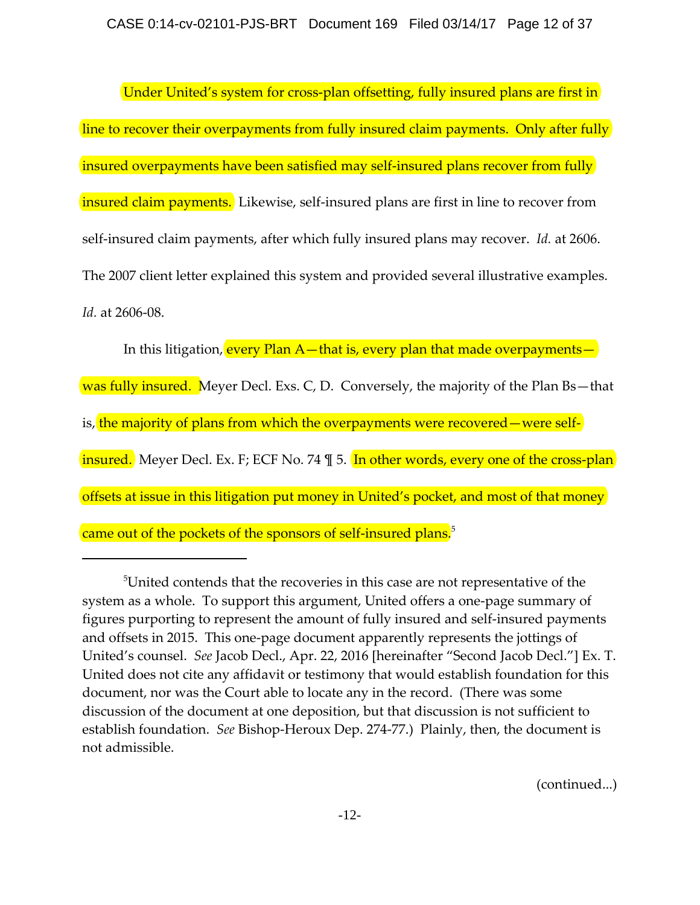Under United's system for cross-plan offsetting, fully insured plans are first in line to recover their overpayments from fully insured claim payments. Only after fully insured overpayments have been satisfied may self-insured plans recover from fully insured claim payments. Likewise, self-insured plans are first in line to recover from self-insured claim payments, after which fully insured plans may recover. *Id.* at 2606. The 2007 client letter explained this system and provided several illustrative examples. *Id.* at 2606‐08.

In this litigation, every Plan  $A$  – that is, every plan that made overpayments – was fully insured. Meyer Decl. Exs. C, D. Conversely, the majority of the Plan Bs-that is, the majority of plans from which the overpayments were recovered—were selfinsured. Meyer Decl. Ex. F; ECF No. 74  $\frac{1}{2}$  5. In other words, every one of the cross-plan offsets at issue in this litigation put money in United's pocket, and most of that money came out of the pockets of the sponsors of self-insured plans.<sup>5</sup>

(continued...)

 $5$ United contends that the recoveries in this case are not representative of the system as a whole. To support this argument, United offers a one‐page summary of figures purporting to represent the amount of fully insured and self‐insured payments and offsets in 2015. This one‐page document apparently represents the jottings of United's counsel. *See* Jacob Decl., Apr. 22, 2016 [hereinafter "Second Jacob Decl."] Ex. T. United does not cite any affidavit or testimony that would establish foundation for this document, nor was the Court able to locate any in the record. (There was some discussion of the document at one deposition, but that discussion is not sufficient to establish foundation. *See* Bishop-Heroux Dep. 274-77.) Plainly, then, the document is not admissible.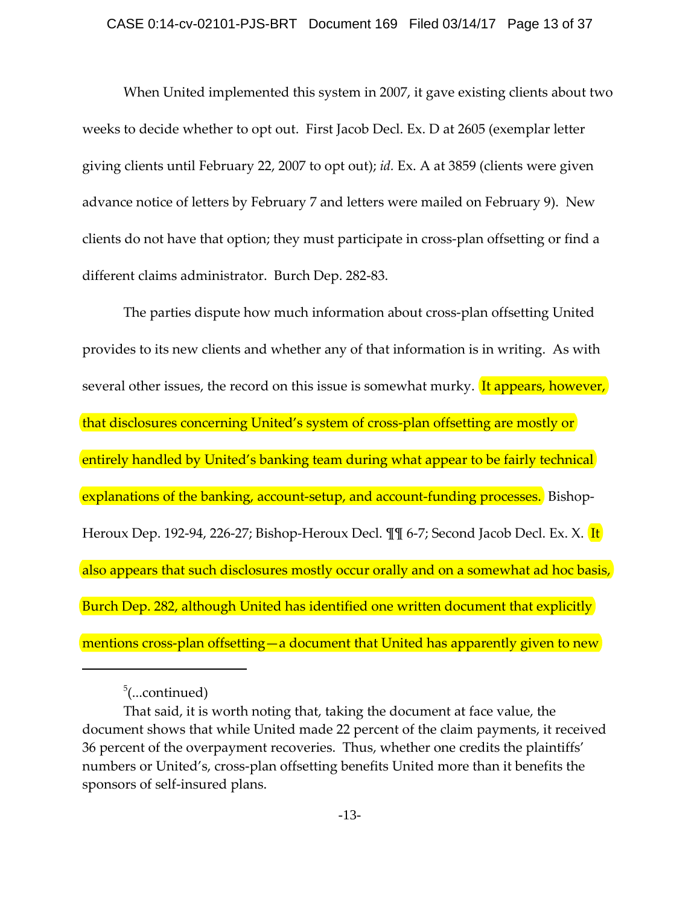#### CASE 0:14-cv-02101-PJS-BRT Document 169 Filed 03/14/17 Page 13 of 37

When United implemented this system in 2007, it gave existing clients about two weeks to decide whether to opt out. First Jacob Decl. Ex. D at 2605 (exemplar letter giving clients until February 22, 2007 to opt out); *id.* Ex. A at 3859 (clients were given advance notice of letters by February 7 and letters were mailed on February 9). New clients do not have that option; they must participate in cross‐plan offsetting or find a different claims administrator. Burch Dep. 282‐83.

The parties dispute how much information about cross‐plan offsetting United provides to its new clients and whether any of that information is in writing. As with several other issues, the record on this issue is somewhat murky. It appears, however, that disclosures concerning United's system of cross‐plan offsetting are mostly or entirely handled by United's banking team during what appear to be fairly technical explanations of the banking, account-setup, and account-funding processes. Bishop-Heroux Dep. 192-94, 226-27; Bishop-Heroux Decl. ¶¶ 6-7; Second Jacob Decl. Ex. X. **It** also appears that such disclosures mostly occur orally and on a somewhat ad hoc basis, Burch Dep. 282, although United has identified one written document that explicitly mentions cross-plan offsetting—a document that United has apparently given to new

<sup>&</sup>lt;sup>5</sup>(...continued)

That said, it is worth noting that, taking the document at face value, the document shows that while United made 22 percent of the claim payments, it received 36 percent of the overpayment recoveries. Thus, whether one credits the plaintiffs' numbers or United's, cross‐plan offsetting benefits United more than it benefits the sponsors of self‐insured plans.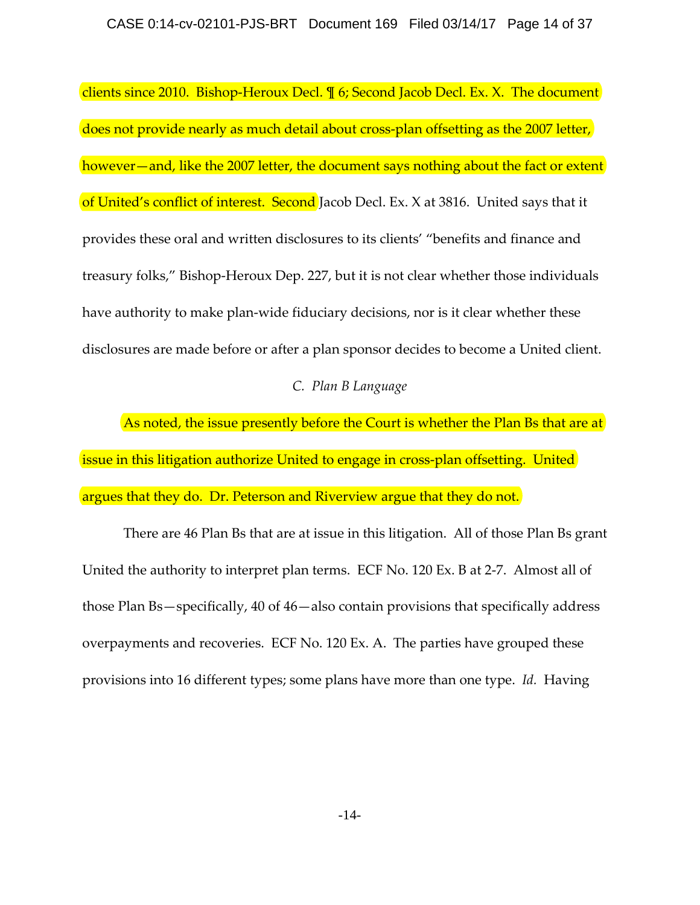clients since 2010. Bishop-Heroux Decl. ¶ 6; Second Jacob Decl. Ex. X. The document does not provide nearly as much detail about cross‐plan offsetting as the 2007 letter, however—and, like the 2007 letter, the document says nothing about the fact or extent of United's conflict of interest. Second Jacob Decl. Ex. X at 3816. United says that it provides these oral and written disclosures to its clients' "benefits and finance and treasury folks," Bishop‐Heroux Dep. 227, but it is not clear whether those individuals have authority to make plan‐wide fiduciary decisions, nor is it clear whether these disclosures are made before or after a plan sponsor decides to become a United client.

## *C. Plan B Language*

As noted, the issue presently before the Court is whether the Plan Bs that are at issue in this litigation authorize United to engage in cross-plan offsetting. United argues that they do. Dr. Peterson and Riverview argue that they do not.

There are 46 Plan Bs that are at issue in this litigation. All of those Plan Bs grant United the authority to interpret plan terms. ECF No. 120 Ex. B at 2‐7. Almost all of those Plan Bs—specifically, 40 of 46—also contain provisions that specifically address overpayments and recoveries. ECF No. 120 Ex. A. The parties have grouped these provisions into 16 different types; some plans have more than one type. *Id.* Having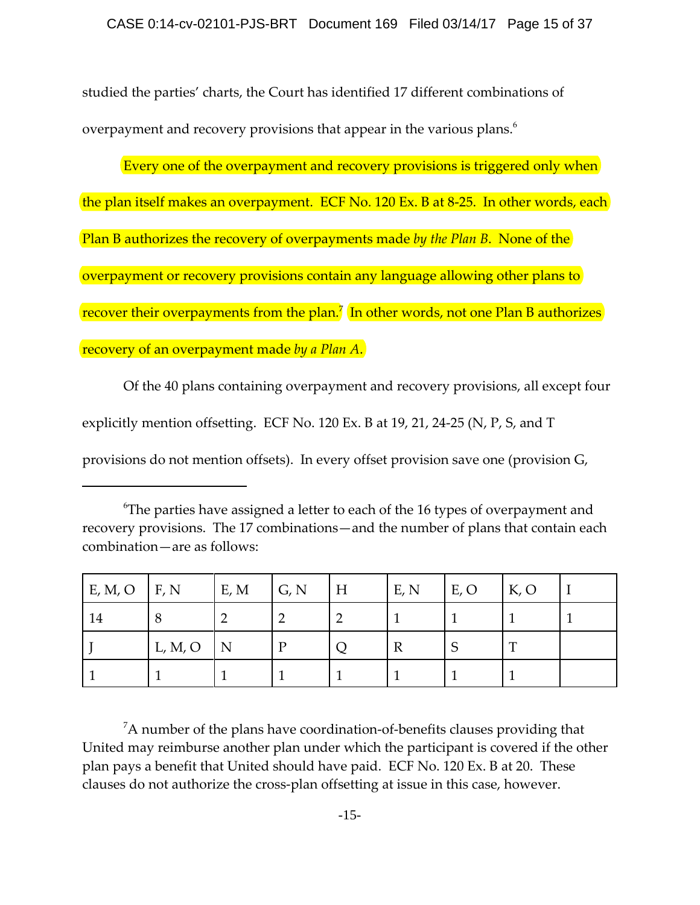studied the parties' charts, the Court has identified 17 different combinations of overpayment and recovery provisions that appear in the various plans.<sup>6</sup>

Every one of the overpayment and recovery provisions is triggered only when the plan itself makes an overpayment. ECF No. 120 Ex. B at 8‐25. In other words, each Plan B authorizes the recovery of overpayments made *by the Plan B*. None of the overpayment or recovery provisions contain any language allowing other plans to recover their overpayments from the plan.<sup>7</sup> In other words, not one Plan B authorizes recovery of an overpayment made *by a Plan A*.

Of the 40 plans containing overpayment and recovery provisions, all except four explicitly mention offsetting. ECF No. 120 Ex. B at 19, 21, 24‐25 (N, P, S, and T provisions do not mention offsets). In every offset provision save one (provision G,

 $^6$ The parties have assigned a letter to each of the 16 types of overpayment and recovery provisions. The 17 combinations—and the number of plans that contain each combination—are as follows:

| E, M, O | F, N    | E, M | G, N | H | E, N | E, O   | K, O |  |
|---------|---------|------|------|---|------|--------|------|--|
| 14      | 8       |      |      |   |      |        |      |  |
|         | L, M, O | N    | D    |   | R    | ⌒<br>ා | ௱    |  |
|         |         |      |      |   |      |        |      |  |

 $^7$ A number of the plans have coordination-of-benefits clauses providing that United may reimburse another plan under which the participant is covered if the other plan pays a benefit that United should have paid. ECF No. 120 Ex. B at 20. These clauses do not authorize the cross‐plan offsetting at issue in this case, however.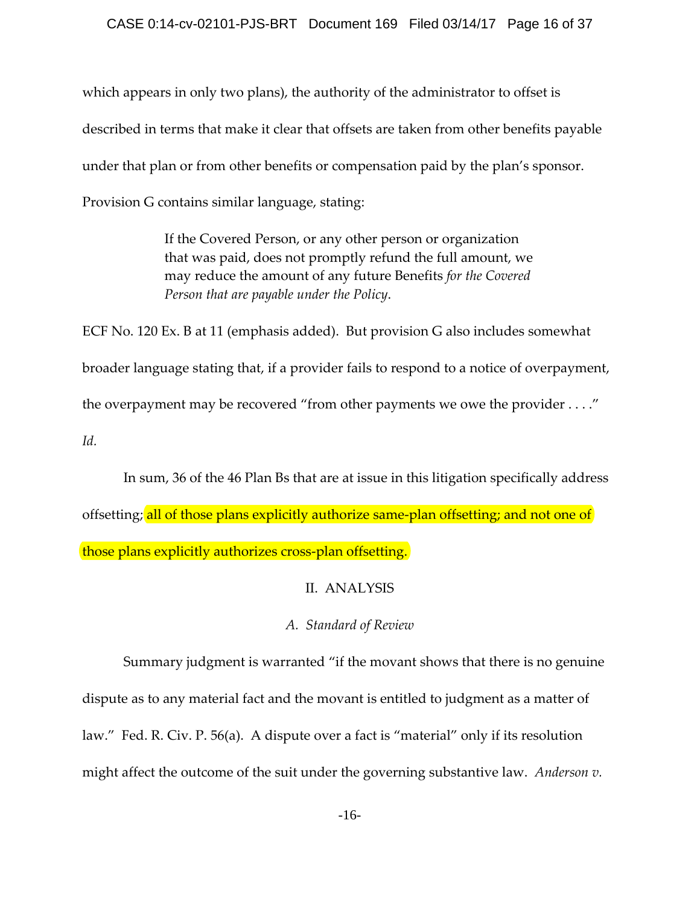## CASE 0:14-cv-02101-PJS-BRT Document 169 Filed 03/14/17 Page 16 of 37

which appears in only two plans), the authority of the administrator to offset is described in terms that make it clear that offsets are taken from other benefits payable under that plan or from other benefits or compensation paid by the plan's sponsor. Provision G contains similar language, stating:

> If the Covered Person, or any other person or organization that was paid, does not promptly refund the full amount, we may reduce the amount of any future Benefits *for the Covered Person that are payable under the Policy*.

ECF No. 120 Ex. B at 11 (emphasis added). But provision G also includes somewhat broader language stating that, if a provider fails to respond to a notice of overpayment, the overpayment may be recovered "from other payments we owe the provider . . . ." *Id.*

In sum, 36 of the 46 Plan Bs that are at issue in this litigation specifically address offsetting; all of those plans explicitly authorize same-plan offsetting; and not one of those plans explicitly authorizes cross‐plan offsetting.

## II. ANALYSIS

## *A. Standard of Review*

Summary judgment is warranted "if the movant shows that there is no genuine dispute as to any material fact and the movant is entitled to judgment as a matter of law." Fed. R. Civ. P. 56(a). A dispute over a fact is "material" only if its resolution might affect the outcome of the suit under the governing substantive law. *Anderson v.*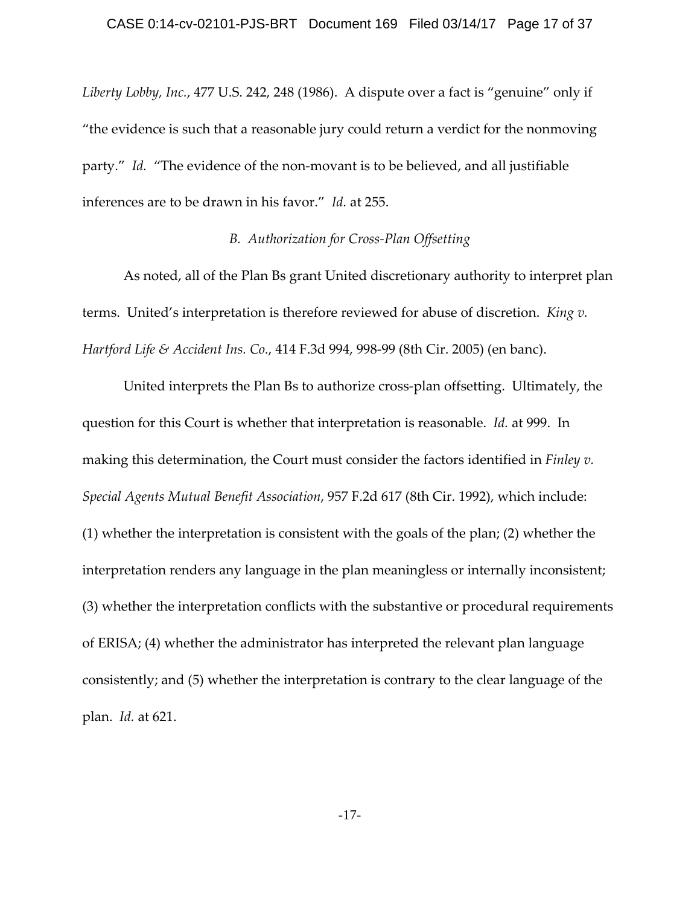*Liberty Lobby, Inc.*, 477 U.S. 242, 248 (1986). A dispute over a fact is "genuine" only if "the evidence is such that a reasonable jury could return a verdict for the nonmoving party." *Id.* "The evidence of the non-movant is to be believed, and all justifiable inferences are to be drawn in his favor." *Id.* at 255.

### *B. Authorization for Cross‐Plan Offsetting*

As noted, all of the Plan Bs grant United discretionary authority to interpret plan terms. United's interpretation is therefore reviewed for abuse of discretion. *King v. Hartford Life & Accident Ins. Co.*, 414 F.3d 994, 998‐99 (8th Cir. 2005) (en banc).

United interprets the Plan Bs to authorize cross‐plan offsetting. Ultimately, the question for this Court is whether that interpretation is reasonable. *Id.* at 999. In making this determination, the Court must consider the factors identified in *Finley v. Special Agents Mutual Benefit Association*, 957 F.2d 617 (8th Cir. 1992), which include: (1) whether the interpretation is consistent with the goals of the plan; (2) whether the interpretation renders any language in the plan meaningless or internally inconsistent; (3) whether the interpretation conflicts with the substantive or procedural requirements of ERISA; (4) whether the administrator has interpreted the relevant plan language consistently; and (5) whether the interpretation is contrary to the clear language of the plan. *Id.* at 621.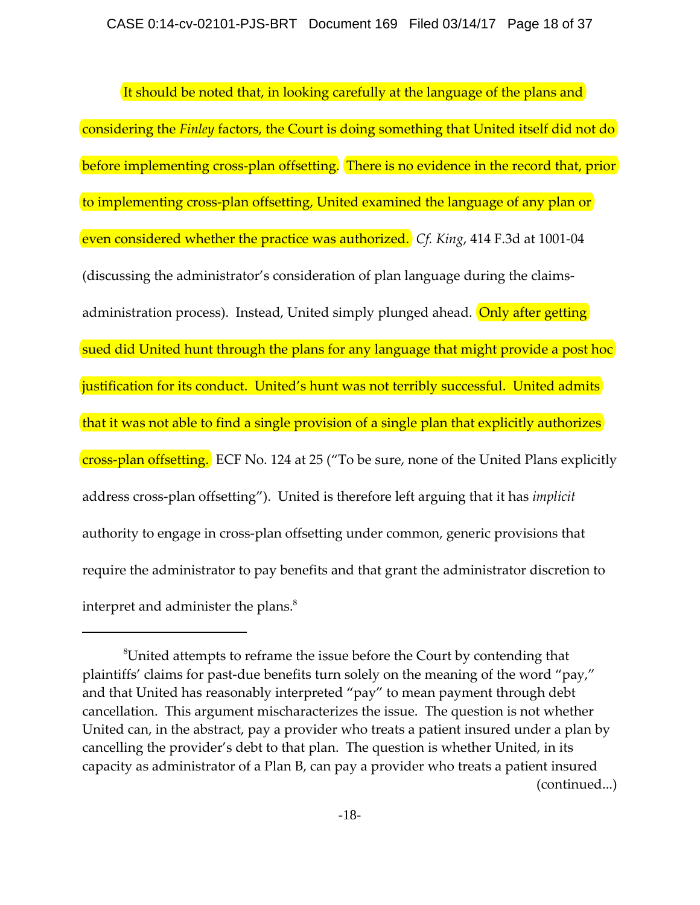It should be noted that, in looking carefully at the language of the plans and considering the *Finley* factors, the Court is doing something that United itself did not do before implementing cross-plan offsetting. There is no evidence in the record that, prior to implementing cross‐plan offsetting, United examined the language of any plan or even considered whether the practice was authorized. *Cf. King*, 414 F.3d at 1001‐04 (discussing the administrator's consideration of plan language during the claims‐ administration process). Instead, United simply plunged ahead. Only after getting sued did United hunt through the plans for any language that might provide a post hoc justification for its conduct. United's hunt was not terribly successful. United admits that it was not able to find a single provision of a single plan that explicitly authorizes cross‐plan offsetting. ECF No. 124 at 25 ("To be sure, none of the United Plans explicitly address cross‐plan offsetting"). United is therefore left arguing that it has *implicit* authority to engage in cross‐plan offsetting under common, generic provisions that require the administrator to pay benefits and that grant the administrator discretion to interpret and administer the plans.<sup>8</sup>

 ${}^8$ United attempts to reframe the issue before the Court by contending that plaintiffs' claims for past‐due benefits turn solely on the meaning of the word "pay," and that United has reasonably interpreted "pay" to mean payment through debt cancellation. This argument mischaracterizes the issue. The question is not whether United can, in the abstract, pay a provider who treats a patient insured under a plan by cancelling the provider's debt to that plan. The question is whether United, in its capacity as administrator of a Plan B, can pay a provider who treats a patient insured (continued...)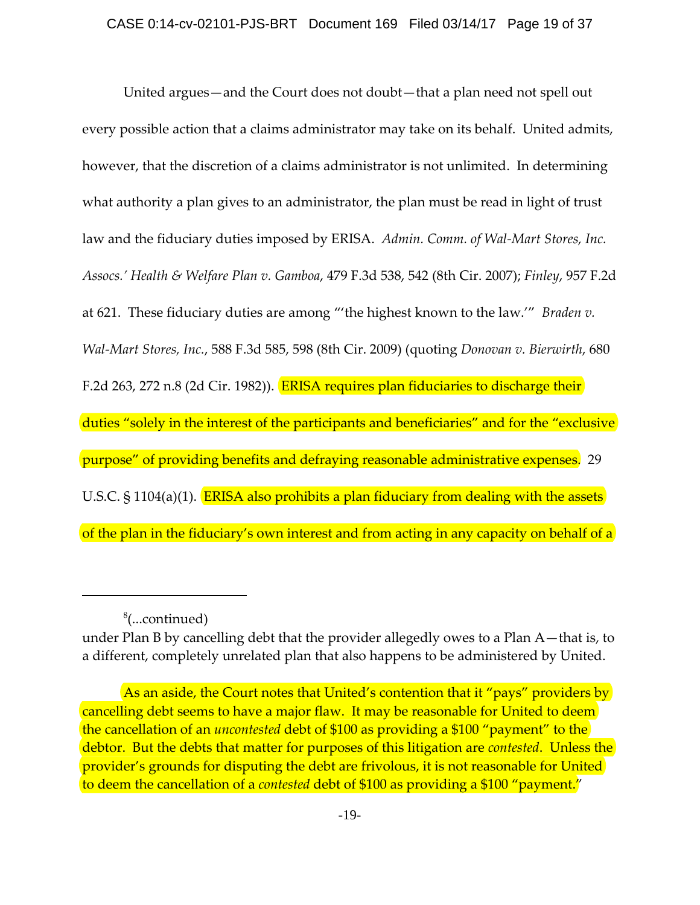United argues—and the Court does not doubt—that a plan need not spell out every possible action that a claims administrator may take on its behalf. United admits, however, that the discretion of a claims administrator is not unlimited. In determining what authority a plan gives to an administrator, the plan must be read in light of trust law and the fiduciary duties imposed by ERISA. *Admin. Comm. of Wal‐Mart Stores, Inc. Assocs.' Health & Welfare Plan v. Gamboa*, 479 F.3d 538, 542 (8th Cir. 2007); *Finley*, 957 F.2d at 621. These fiduciary duties are among "'the highest known to the law.'" *Braden v. Wal‐Mart Stores, Inc.*, 588 F.3d 585, 598 (8th Cir. 2009) (quoting *Donovan v. Bierwirth*, 680 F.2d 263, 272 n.8 (2d Cir. 1982)). **ERISA requires plan fiduciaries to discharge their** duties "solely in the interest of the participants and beneficiaries" and for the "exclusive purpose" of providing benefits and defraying reasonable administrative expenses. 29 U.S.C. § 1104(a)(1). ERISA also prohibits a plan fiduciary from dealing with the assets of the plan in the fiduciary's own interest and from acting in any capacity on behalf of a

<sup>8</sup> (...continued)

under Plan B by cancelling debt that the provider allegedly owes to a Plan A—that is, to a different, completely unrelated plan that also happens to be administered by United.

As an aside, the Court notes that United's contention that it "pays" providers by cancelling debt seems to have a major flaw. It may be reasonable for United to deem the cancellation of an *uncontested* debt of \$100 as providing a \$100 "payment" to the debtor. But the debts that matter for purposes of this litigation are *contested*. Unless the provider's grounds for disputing the debt are frivolous, it is not reasonable for United to deem the cancellation of a *contested* debt of \$100 as providing a \$100 "payment."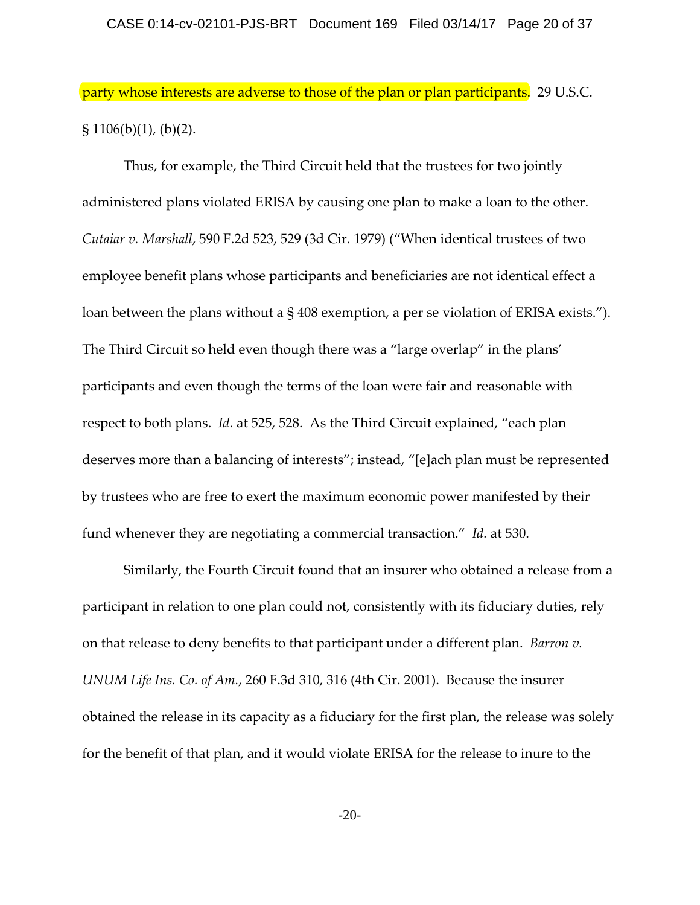party whose interests are adverse to those of the plan or plan participants. 29 U.S.C.  $\S 1106(b)(1)$ , (b)(2).

Thus, for example, the Third Circuit held that the trustees for two jointly administered plans violated ERISA by causing one plan to make a loan to the other. *Cutaiar v. Marshall*, 590 F.2d 523, 529 (3d Cir. 1979) ("When identical trustees of two employee benefit plans whose participants and beneficiaries are not identical effect a loan between the plans without a § 408 exemption, a per se violation of ERISA exists."). The Third Circuit so held even though there was a "large overlap" in the plans' participants and even though the terms of the loan were fair and reasonable with respect to both plans. *Id.* at 525, 528. As the Third Circuit explained, "each plan deserves more than a balancing of interests"; instead, "[e]ach plan must be represented by trustees who are free to exert the maximum economic power manifested by their fund whenever they are negotiating a commercial transaction." *Id.* at 530.

Similarly, the Fourth Circuit found that an insurer who obtained a release from a participant in relation to one plan could not, consistently with its fiduciary duties, rely on that release to deny benefits to that participant under a different plan. *Barron v. UNUM Life Ins. Co. of Am.*, 260 F.3d 310, 316 (4th Cir. 2001). Because the insurer obtained the release in its capacity as a fiduciary for the first plan, the release was solely for the benefit of that plan, and it would violate ERISA for the release to inure to the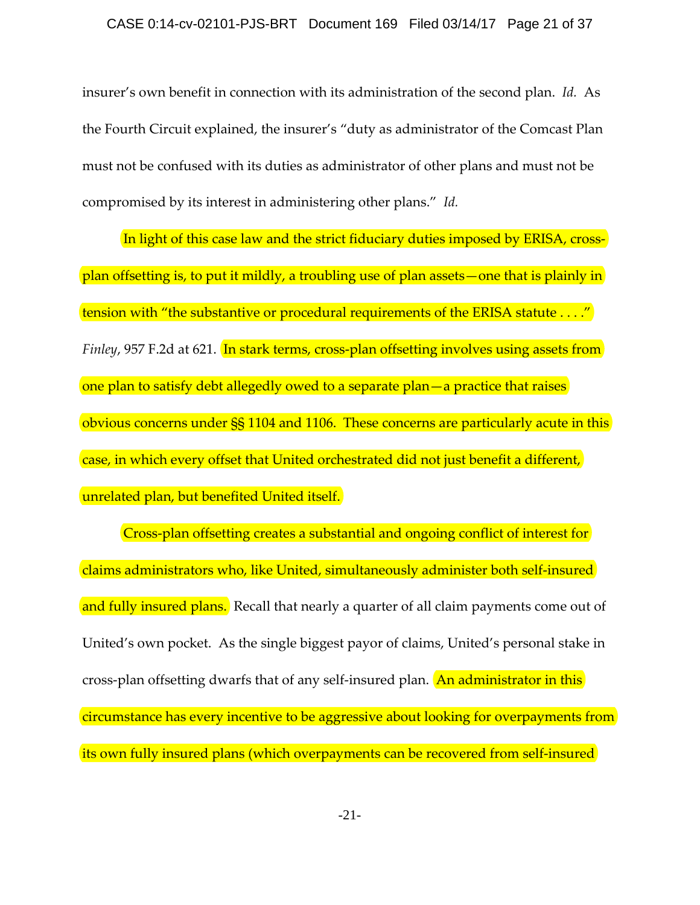insurer's own benefit in connection with its administration of the second plan. *Id.* As the Fourth Circuit explained, the insurer's "duty as administrator of the Comcast Plan must not be confused with its duties as administrator of other plans and must not be compromised by its interest in administering other plans." *Id.*

In light of this case law and the strict fiduciary duties imposed by ERISA, cross‐ plan offsetting is, to put it mildly, a troubling use of plan assets—one that is plainly in tension with "the substantive or procedural requirements of the ERISA statute . . . ." *Finley*, 957 F.2d at 621. In stark terms, cross-plan offsetting involves using assets from one plan to satisfy debt allegedly owed to a separate plan—a practice that raises obvious concerns under §§ 1104 and 1106. These concerns are particularly acute in this case, in which every offset that United orchestrated did not just benefit a different, unrelated plan, but benefited United itself.

Cross-plan offsetting creates a substantial and ongoing conflict of interest for claims administrators who, like United, simultaneously administer both self‐insured and fully insured plans. Recall that nearly a quarter of all claim payments come out of United's own pocket. As the single biggest payor of claims, United's personal stake in cross-plan offsetting dwarfs that of any self-insured plan. An administrator in this circumstance has every incentive to be aggressive about looking for overpayments from its own fully insured plans (which overpayments can be recovered from self-insured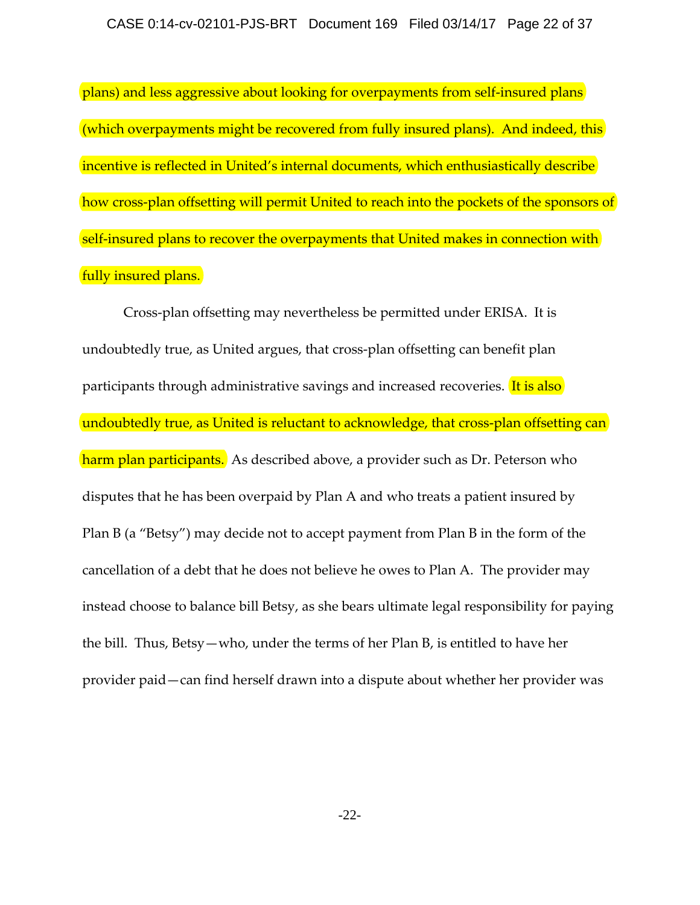plans) and less aggressive about looking for overpayments from self-insured plans (which overpayments might be recovered from fully insured plans). And indeed, this incentive is reflected in United's internal documents, which enthusiastically describe how cross-plan offsetting will permit United to reach into the pockets of the sponsors of self-insured plans to recover the overpayments that United makes in connection with fully insured plans.

Cross‐plan offsetting may nevertheless be permitted under ERISA. It is undoubtedly true, as United argues, that cross‐plan offsetting can benefit plan participants through administrative savings and increased recoveries. It is also undoubtedly true, as United is reluctant to acknowledge, that cross-plan offsetting can harm plan participants. As described above, a provider such as Dr. Peterson who disputes that he has been overpaid by Plan A and who treats a patient insured by Plan B (a "Betsy") may decide not to accept payment from Plan B in the form of the cancellation of a debt that he does not believe he owes to Plan A. The provider may instead choose to balance bill Betsy, as she bears ultimate legal responsibility for paying the bill. Thus, Betsy—who, under the terms of her Plan B, is entitled to have her provider paid—can find herself drawn into a dispute about whether her provider was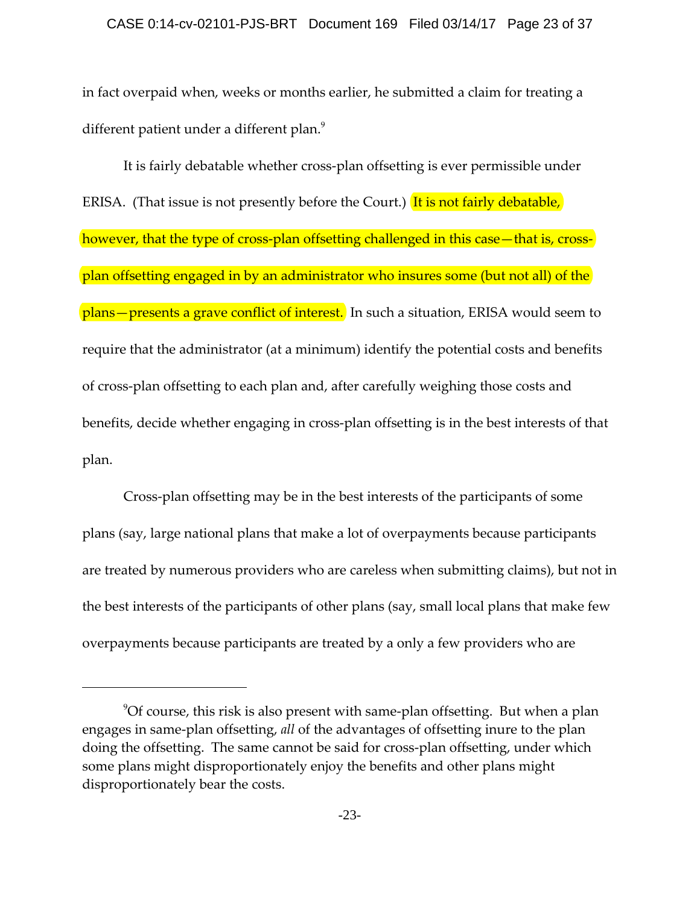#### CASE 0:14-cv-02101-PJS-BRT Document 169 Filed 03/14/17 Page 23 of 37

in fact overpaid when, weeks or months earlier, he submitted a claim for treating a different patient under a different plan.<sup>9</sup>

It is fairly debatable whether cross‐plan offsetting is ever permissible under ERISA. (That issue is not presently before the Court.) It is not fairly debatable, however, that the type of cross-plan offsetting challenged in this case—that is, crossplan offsetting engaged in by an administrator who insures some (but not all) of the plans—presents a grave conflict of interest. In such a situation, ERISA would seem to require that the administrator (at a minimum) identify the potential costs and benefits of cross‐plan offsetting to each plan and, after carefully weighing those costs and benefits, decide whether engaging in cross‐plan offsetting is in the best interests of that plan.

Cross‐plan offsetting may be in the best interests of the participants of some plans (say, large national plans that make a lot of overpayments because participants are treated by numerous providers who are careless when submitting claims), but not in the best interests of the participants of other plans (say, small local plans that make few overpayments because participants are treated by a only a few providers who are

 $9$ Of course, this risk is also present with same-plan offsetting. But when a plan engages in same‐plan offsetting, *all* of the advantages of offsetting inure to the plan doing the offsetting. The same cannot be said for cross‐plan offsetting, under which some plans might disproportionately enjoy the benefits and other plans might disproportionately bear the costs.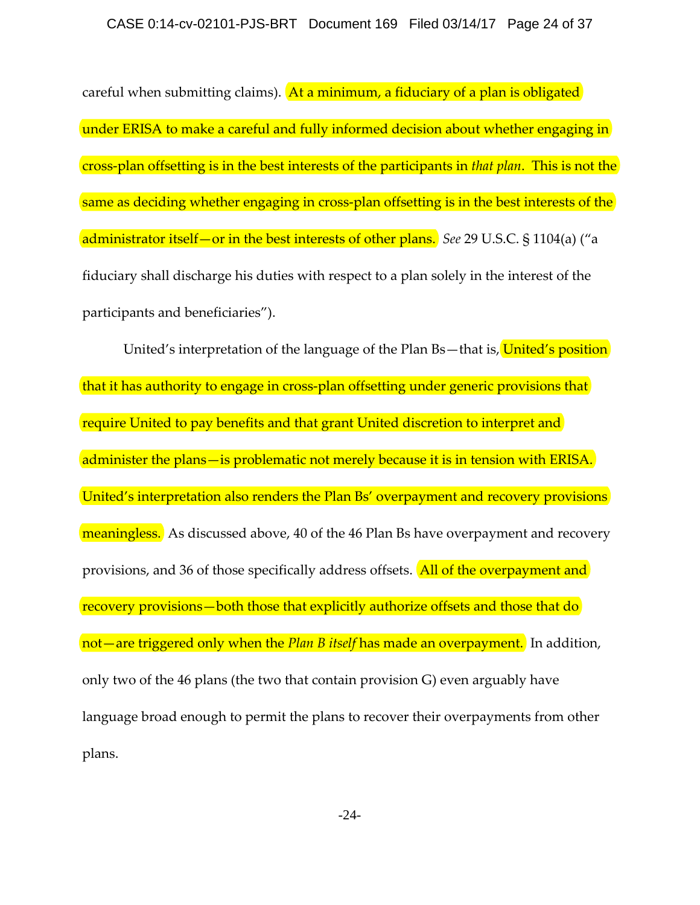careful when submitting claims). At a minimum, a fiduciary of a plan is obligated under ERISA to make a careful and fully informed decision about whether engaging in cross‐plan offsetting is in the best interests of the participants in *that plan*. This is not the same as deciding whether engaging in cross-plan offsetting is in the best interests of the administrator itself—or in the best interests of other plans. *See* 29 U.S.C. § 1104(a) ("a fiduciary shall discharge his duties with respect to a plan solely in the interest of the participants and beneficiaries").

United's interpretation of the language of the Plan Bs—that is, United's position that it has authority to engage in cross‐plan offsetting under generic provisions that require United to pay benefits and that grant United discretion to interpret and administer the plans—is problematic not merely because it is in tension with ERISA. United's interpretation also renders the Plan Bs' overpayment and recovery provisions meaningless. As discussed above, 40 of the 46 Plan Bs have overpayment and recovery provisions, and 36 of those specifically address offsets. **All of the overpayment and** recovery provisions—both those that explicitly authorize offsets and those that do not—are triggered only when the *Plan B itself* has made an overpayment. In addition, only two of the 46 plans (the two that contain provision G) even arguably have language broad enough to permit the plans to recover their overpayments from other plans.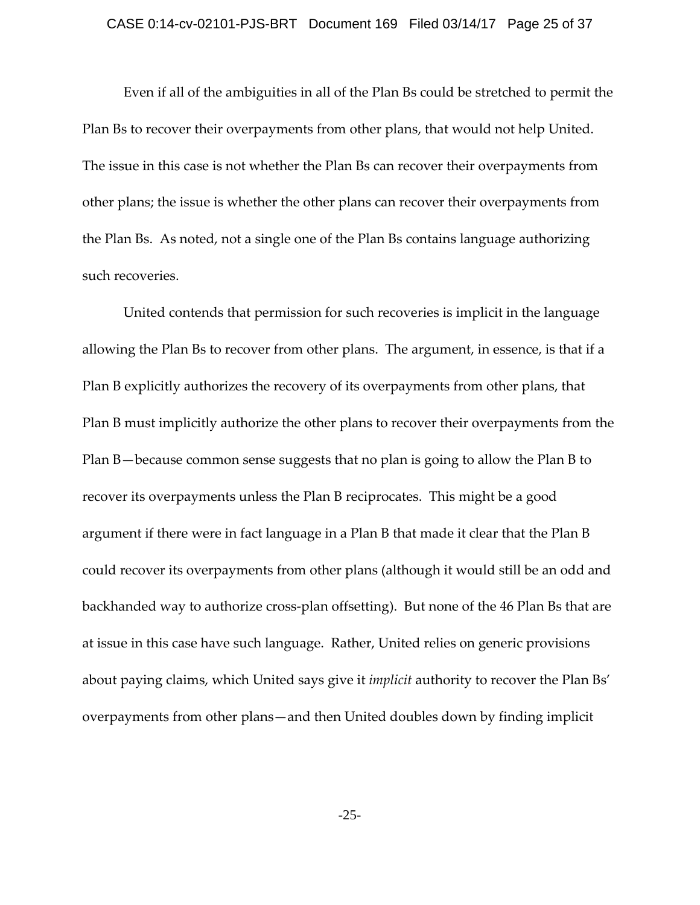#### CASE 0:14-cv-02101-PJS-BRT Document 169 Filed 03/14/17 Page 25 of 37

Even if all of the ambiguities in all of the Plan Bs could be stretched to permit the Plan Bs to recover their overpayments from other plans, that would not help United. The issue in this case is not whether the Plan Bs can recover their overpayments from other plans; the issue is whether the other plans can recover their overpayments from the Plan Bs. As noted, not a single one of the Plan Bs contains language authorizing such recoveries.

United contends that permission for such recoveries is implicit in the language allowing the Plan Bs to recover from other plans. The argument, in essence, is that if a Plan B explicitly authorizes the recovery of its overpayments from other plans, that Plan B must implicitly authorize the other plans to recover their overpayments from the Plan B—because common sense suggests that no plan is going to allow the Plan B to recover its overpayments unless the Plan B reciprocates. This might be a good argument if there were in fact language in a Plan B that made it clear that the Plan B could recover its overpayments from other plans (although it would still be an odd and backhanded way to authorize cross‐plan offsetting). But none of the 46 Plan Bs that are at issue in this case have such language. Rather, United relies on generic provisions about paying claims, which United says give it *implicit* authority to recover the Plan Bs' overpayments from other plans—and then United doubles down by finding implicit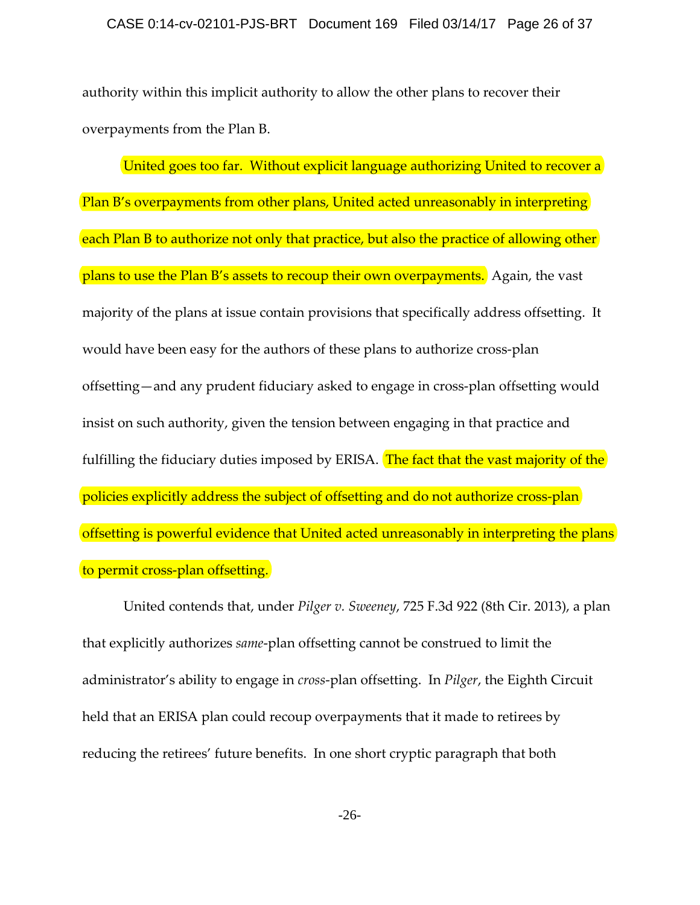#### CASE 0:14-cv-02101-PJS-BRT Document 169 Filed 03/14/17 Page 26 of 37

authority within this implicit authority to allow the other plans to recover their overpayments from the Plan B.

United goes too far. Without explicit language authorizing United to recover a Plan B's overpayments from other plans, United acted unreasonably in interpreting each Plan B to authorize not only that practice, but also the practice of allowing other plans to use the Plan B's assets to recoup their own overpayments. Again, the vast majority of the plans at issue contain provisions that specifically address offsetting. It would have been easy for the authors of these plans to authorize cross-plan offsetting—and any prudent fiduciary asked to engage in cross‐plan offsetting would insist on such authority, given the tension between engaging in that practice and fulfilling the fiduciary duties imposed by ERISA. The fact that the vast majority of the policies explicitly address the subject of offsetting and do not authorize cross‐plan offsetting is powerful evidence that United acted unreasonably in interpreting the plans to permit cross‐plan offsetting.

United contends that, under *Pilger v. Sweeney*, 725 F.3d 922 (8th Cir. 2013), a plan that explicitly authorizes *same*‐plan offsetting cannot be construed to limit the administrator's ability to engage in *cross*‐plan offsetting. In *Pilger*, the Eighth Circuit held that an ERISA plan could recoup overpayments that it made to retirees by reducing the retirees' future benefits. In one short cryptic paragraph that both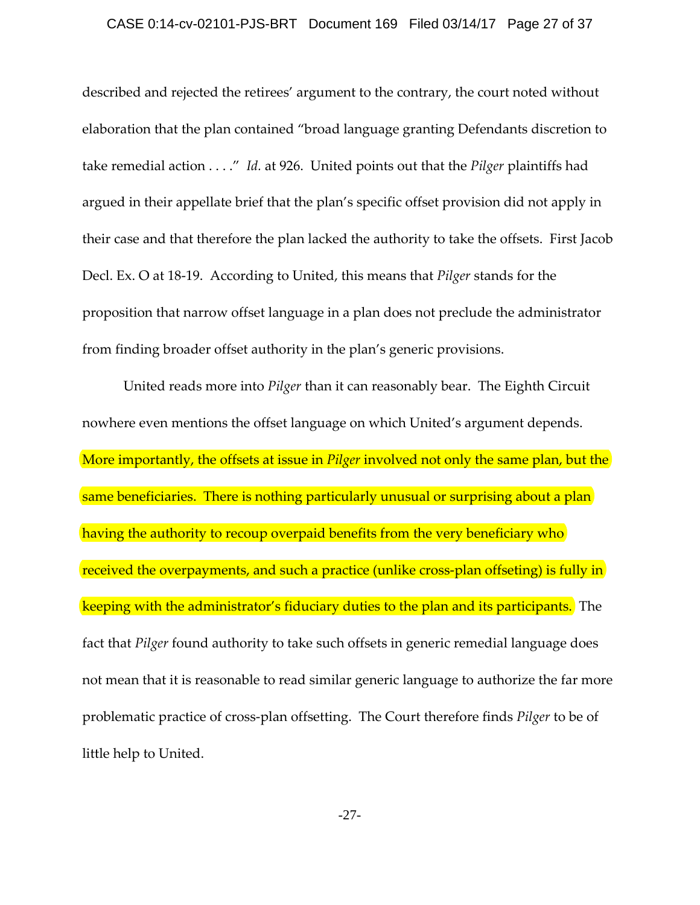#### CASE 0:14-cv-02101-PJS-BRT Document 169 Filed 03/14/17 Page 27 of 37

described and rejected the retirees' argument to the contrary, the court noted without elaboration that the plan contained "broad language granting Defendants discretion to take remedial action . . . ." *Id.* at 926. United points out that the *Pilger* plaintiffs had argued in their appellate brief that the plan's specific offset provision did not apply in their case and that therefore the plan lacked the authority to take the offsets. First Jacob Decl. Ex. O at 18‐19. According to United, this means that *Pilger* stands for the proposition that narrow offset language in a plan does not preclude the administrator from finding broader offset authority in the plan's generic provisions.

United reads more into *Pilger* than it can reasonably bear. The Eighth Circuit nowhere even mentions the offset language on which United's argument depends. More importantly, the offsets at issue in *Pilger* involved not only the same plan, but the same beneficiaries. There is nothing particularly unusual or surprising about a plan having the authority to recoup overpaid benefits from the very beneficiary who received the overpayments, and such a practice (unlike cross-plan offseting) is fully in keeping with the administrator's fiduciary duties to the plan and its participants. The fact that *Pilger* found authority to take such offsets in generic remedial language does not mean that it is reasonable to read similar generic language to authorize the far more problematic practice of cross‐plan offsetting. The Court therefore finds *Pilger* to be of little help to United.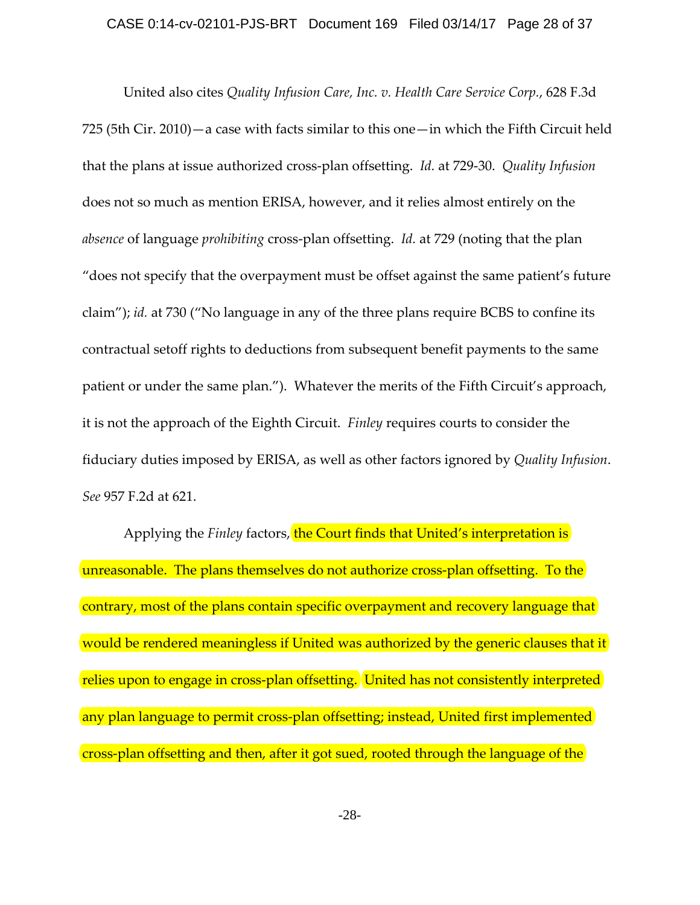#### CASE 0:14-cv-02101-PJS-BRT Document 169 Filed 03/14/17 Page 28 of 37

United also cites *Quality Infusion Care, Inc. v. Health Care Service Corp.*, 628 F.3d 725 (5th Cir. 2010)—a case with facts similar to this one—in which the Fifth Circuit held that the plans at issue authorized cross‐plan offsetting. *Id.* at 729‐30. *Quality Infusion* does not so much as mention ERISA, however, and it relies almost entirely on the *absence* of language *prohibiting* cross‐plan offsetting. *Id.* at 729 (noting that the plan "does not specify that the overpayment must be offset against the same patient's future claim"); *id.* at 730 ("No language in any of the three plans require BCBS to confine its contractual setoff rights to deductions from subsequent benefit payments to the same patient or under the same plan."). Whatever the merits of the Fifth Circuit's approach, it is not the approach of the Eighth Circuit. *Finley* requires courts to consider the fiduciary duties imposed by ERISA, as well as other factors ignored by *Quality Infusion*. *See* 957 F.2d at 621.

Applying the *Finley* factors, the Court finds that United's interpretation is unreasonable. The plans themselves do not authorize cross-plan offsetting. To the contrary, most of the plans contain specific overpayment and recovery language that would be rendered meaningless if United was authorized by the generic clauses that it relies upon to engage in cross-plan offsetting. United has not consistently interpreted any plan language to permit cross-plan offsetting; instead, United first implemented cross‐plan offsetting and then, after it got sued, rooted through the language of the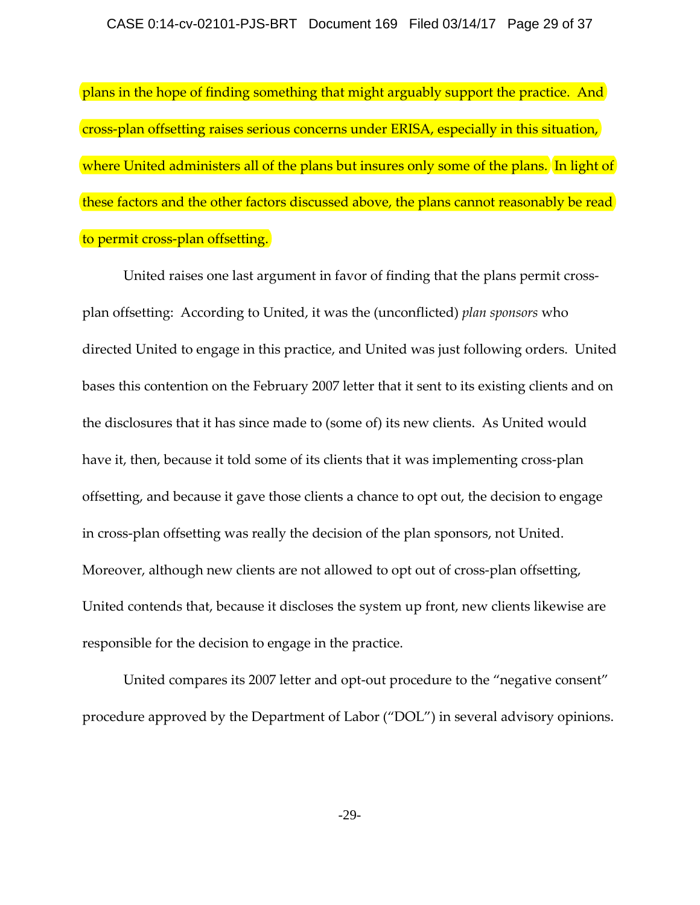plans in the hope of finding something that might arguably support the practice. And cross‐plan offsetting raises serious concerns under ERISA, especially in this situation, where United administers all of the plans but insures only some of the plans. In light of these factors and the other factors discussed above, the plans cannot reasonably be read to permit cross‐plan offsetting.

United raises one last argument in favor of finding that the plans permit cross‐ plan offsetting: According to United, it was the (unconflicted) *plan sponsors* who directed United to engage in this practice, and United was just following orders. United bases this contention on the February 2007 letter that it sent to its existing clients and on the disclosures that it has since made to (some of) its new clients. As United would have it, then, because it told some of its clients that it was implementing cross-plan offsetting, and because it gave those clients a chance to opt out, the decision to engage in cross-plan offsetting was really the decision of the plan sponsors, not United. Moreover, although new clients are not allowed to opt out of cross-plan offsetting, United contends that, because it discloses the system up front, new clients likewise are responsible for the decision to engage in the practice.

United compares its 2007 letter and opt-out procedure to the "negative consent" procedure approved by the Department of Labor ("DOL") in several advisory opinions.

-29-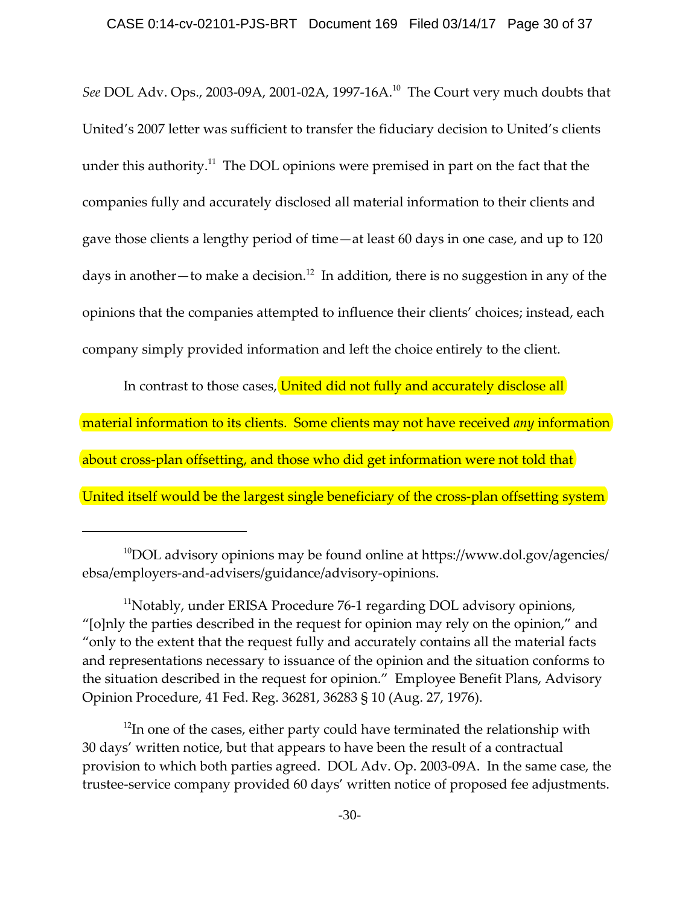### CASE 0:14-cv-02101-PJS-BRT Document 169 Filed 03/14/17 Page 30 of 37

*See* DOL Adv. Ops., 2003‐09A, 2001‐02A, 1997‐16A.10 The Court very much doubts that United's 2007 letter was sufficient to transfer the fiduciary decision to United's clients under this authority.<sup>11</sup> The DOL opinions were premised in part on the fact that the companies fully and accurately disclosed all material information to their clients and gave those clients a lengthy period of time—at least 60 days in one case, and up to 120 days in another—to make a decision.<sup>12</sup> In addition, there is no suggestion in any of the opinions that the companies attempted to influence their clients' choices; instead, each company simply provided information and left the choice entirely to the client.

In contrast to those cases, United did not fully and accurately disclose all material information to its clients. Some clients may not have received *any* information about cross-plan offsetting, and those who did get information were not told that United itself would be the largest single beneficiary of the cross-plan offsetting system

 $10$ DOL advisory opinions may be found online at https://www.dol.gov/agencies/ ebsa/employers‐and‐advisers/guidance/advisory‐opinions.

<sup>11</sup>Notably, under ERISA Procedure 76‐1 regarding DOL advisory opinions, "[o]nly the parties described in the request for opinion may rely on the opinion," and "only to the extent that the request fully and accurately contains all the material facts and representations necessary to issuance of the opinion and the situation conforms to the situation described in the request for opinion." Employee Benefit Plans, Advisory Opinion Procedure, 41 Fed. Reg. 36281, 36283 § 10 (Aug. 27, 1976).

 $12$ In one of the cases, either party could have terminated the relationship with 30 days' written notice, but that appears to have been the result of a contractual provision to which both parties agreed. DOL Adv. Op. 2003‐09A. In the same case, the trustee‐service company provided 60 days' written notice of proposed fee adjustments.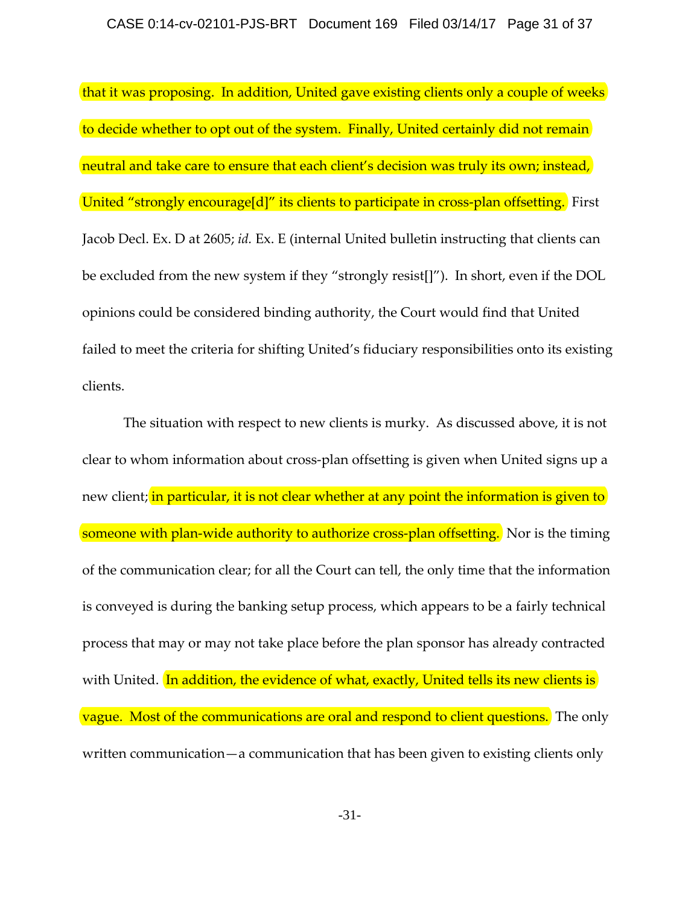that it was proposing. In addition, United gave existing clients only a couple of weeks to decide whether to opt out of the system. Finally, United certainly did not remain neutral and take care to ensure that each client's decision was truly its own; instead, United "strongly encourage[d]" its clients to participate in cross-plan offsetting. First Jacob Decl. Ex. D at 2605; *id.* Ex. E (internal United bulletin instructing that clients can be excluded from the new system if they "strongly resist[]"). In short, even if the DOL opinions could be considered binding authority, the Court would find that United failed to meet the criteria for shifting United's fiduciary responsibilities onto its existing clients.

The situation with respect to new clients is murky. As discussed above, it is not clear to whom information about cross‐plan offsetting is given when United signs up a new client; in particular, it is not clear whether at any point the information is given to someone with plan-wide authority to authorize cross-plan offsetting. Nor is the timing of the communication clear; for all the Court can tell, the only time that the information is conveyed is during the banking setup process, which appears to be a fairly technical process that may or may not take place before the plan sponsor has already contracted with United. In addition, the evidence of what, exactly, United tells its new clients is vague. Most of the communications are oral and respond to client questions. The only written communication—a communication that has been given to existing clients only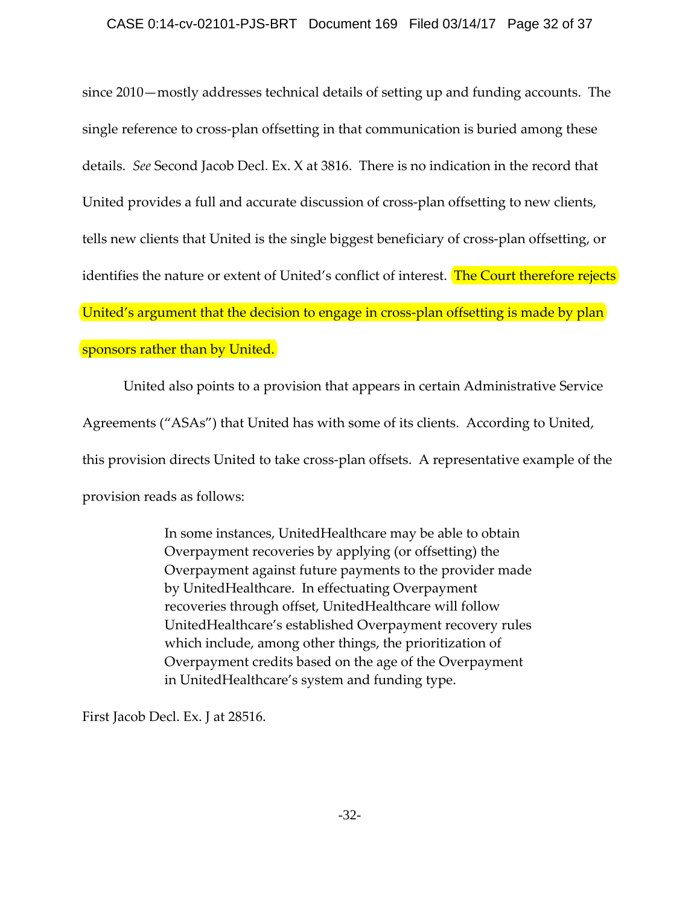## CASE 0:14-cv-02101-PJS-BRT Document 169 Filed 03/14/17 Page 32 of 37

since 2010—mostly addresses technical details of setting up and funding accounts. The single reference to cross‐plan offsetting in that communication is buried among these details. *See* Second Jacob Decl. Ex. X at 3816. There is no indication in the record that United provides a full and accurate discussion of cross‐plan offsetting to new clients, tells new clients that United is the single biggest beneficiary of cross‐plan offsetting, or identifies the nature or extent of United's conflict of interest. The Court therefore rejects United's argument that the decision to engage in cross-plan offsetting is made by plan sponsors rather than by United.

United also points to a provision that appears in certain Administrative Service Agreements ("ASAs") that United has with some of its clients. According to United, this provision directs United to take cross‐plan offsets. A representative example of the provision reads as follows:

> In some instances, UnitedHealthcare may be able to obtain Overpayment recoveries by applying (or offsetting) the Overpayment against future payments to the provider made by UnitedHealthcare. In effectuating Overpayment recoveries through offset, UnitedHealthcare will follow UnitedHealthcare's established Overpayment recovery rules which include, among other things, the prioritization of Overpayment credits based on the age of the Overpayment in UnitedHealthcare's system and funding type.

First Jacob Decl. Ex. J at 28516.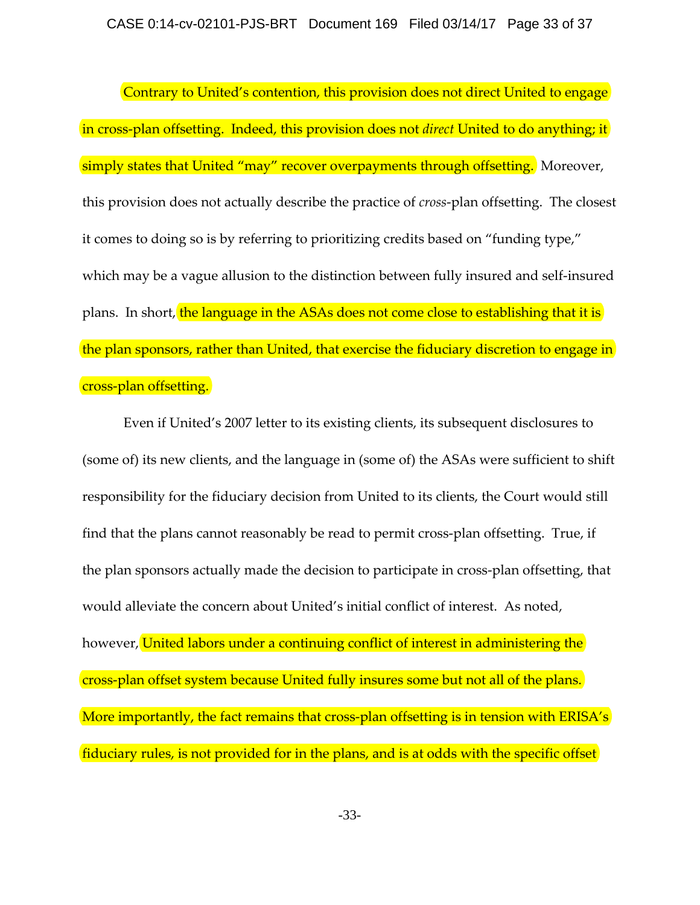Contrary to United's contention, this provision does not direct United to engage in cross‐plan offsetting. Indeed, this provision does not *direct* United to do anything; it simply states that United "may" recover overpayments through offsetting. Moreover, this provision does not actually describe the practice of *cross*‐plan offsetting. The closest it comes to doing so is by referring to prioritizing credits based on "funding type," which may be a vague allusion to the distinction between fully insured and self-insured plans. In short, the language in the ASAs does not come close to establishing that it is the plan sponsors, rather than United, that exercise the fiduciary discretion to engage in cross‐plan offsetting.

Even if United's 2007 letter to its existing clients, its subsequent disclosures to (some of) its new clients, and the language in (some of) the ASAs were sufficient to shift responsibility for the fiduciary decision from United to its clients, the Court would still find that the plans cannot reasonably be read to permit cross-plan offsetting. True, if the plan sponsors actually made the decision to participate in cross‐plan offsetting, that would alleviate the concern about United's initial conflict of interest. As noted, however, United labors under a continuing conflict of interest in administering the cross‐plan offset system because United fully insures some but not all of the plans. More importantly, the fact remains that cross-plan offsetting is in tension with ERISA's fiduciary rules, is not provided for in the plans, and is at odds with the specific offset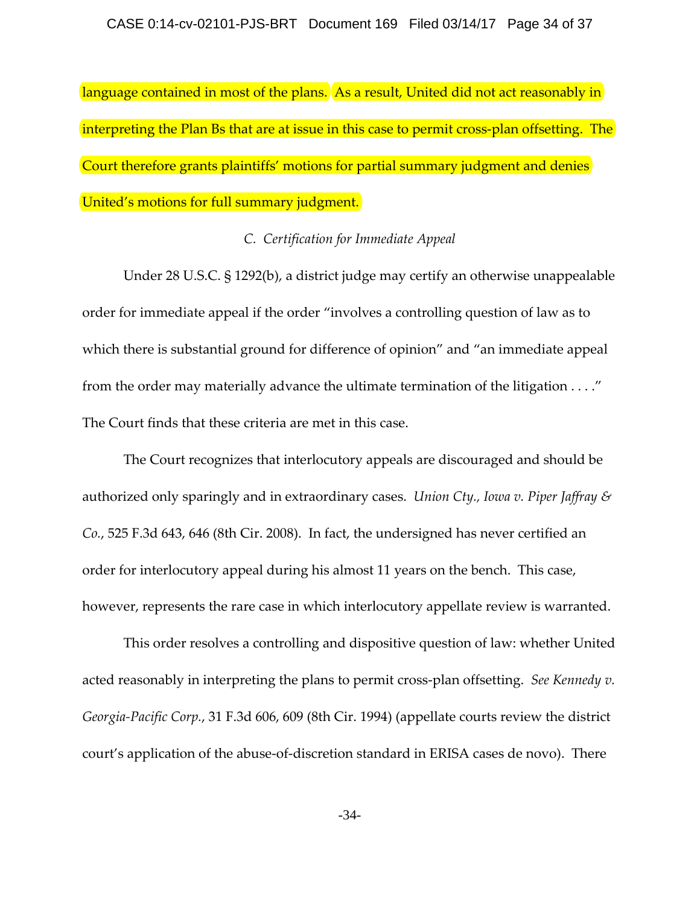language contained in most of the plans. As a result, United did not act reasonably in interpreting the Plan Bs that are at issue in this case to permit cross-plan offsetting. The Court therefore grants plaintiffs' motions for partial summary judgment and denies United's motions for full summary judgment.

## *C. Certification for Immediate Appeal*

Under 28 U.S.C. § 1292(b), a district judge may certify an otherwise unappealable order for immediate appeal if the order "involves a controlling question of law as to which there is substantial ground for difference of opinion" and "an immediate appeal from the order may materially advance the ultimate termination of the litigation . . . ." The Court finds that these criteria are met in this case.

The Court recognizes that interlocutory appeals are discouraged and should be authorized only sparingly and in extraordinary cases. *Union Cty., Iowa v. Piper Jaffray & Co.*, 525 F.3d 643, 646 (8th Cir. 2008). In fact, the undersigned has never certified an order for interlocutory appeal during his almost 11 years on the bench. This case, however, represents the rare case in which interlocutory appellate review is warranted.

This order resolves a controlling and dispositive question of law: whether United acted reasonably in interpreting the plans to permit cross‐plan offsetting. *See Kennedy v. Georgia‐Pacific Corp.*, 31 F.3d 606, 609 (8th Cir. 1994) (appellate courts review the district court's application of the abuse‐of‐discretion standard in ERISA cases de novo). There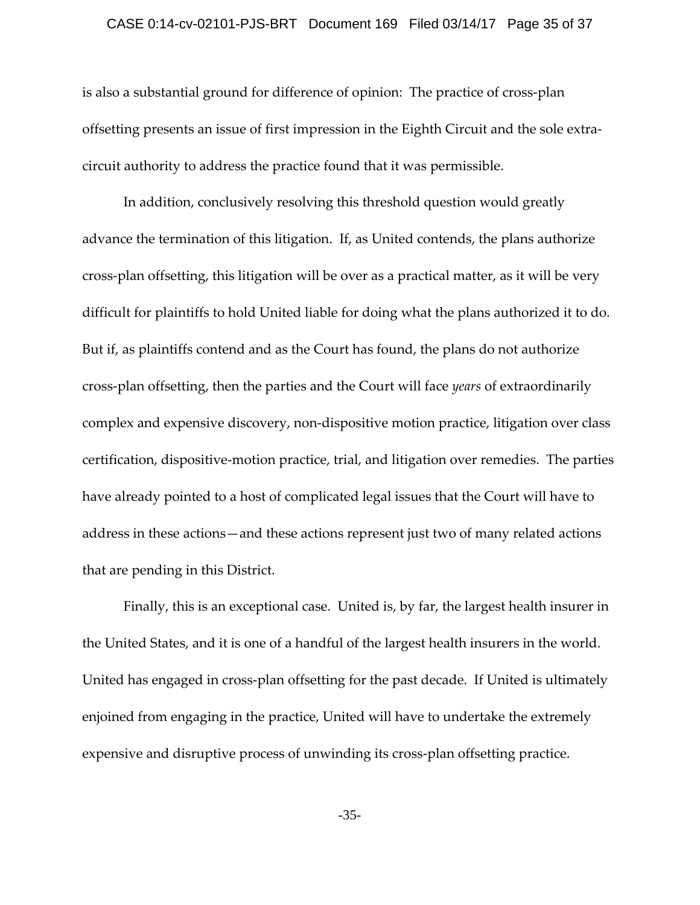#### CASE 0:14-cv-02101-PJS-BRT Document 169 Filed 03/14/17 Page 35 of 37

is also a substantial ground for difference of opinion: The practice of cross-plan offsetting presents an issue of first impression in the Eighth Circuit and the sole extra‐ circuit authority to address the practice found that it was permissible.

In addition, conclusively resolving this threshold question would greatly advance the termination of this litigation. If, as United contends, the plans authorize cross‐plan offsetting, this litigation will be over as a practical matter, as it will be very difficult for plaintiffs to hold United liable for doing what the plans authorized it to do. But if, as plaintiffs contend and as the Court has found, the plans do not authorize cross‐plan offsetting, then the parties and the Court will face *years* of extraordinarily complex and expensive discovery, non‐dispositive motion practice, litigation over class certification, dispositive‐motion practice, trial, and litigation over remedies. The parties have already pointed to a host of complicated legal issues that the Court will have to address in these actions—and these actions represent just two of many related actions that are pending in this District.

Finally, this is an exceptional case. United is, by far, the largest health insurer in the United States, and it is one of a handful of the largest health insurers in the world. United has engaged in cross‐plan offsetting for the past decade. If United is ultimately enjoined from engaging in the practice, United will have to undertake the extremely expensive and disruptive process of unwinding its cross-plan offsetting practice.

-35-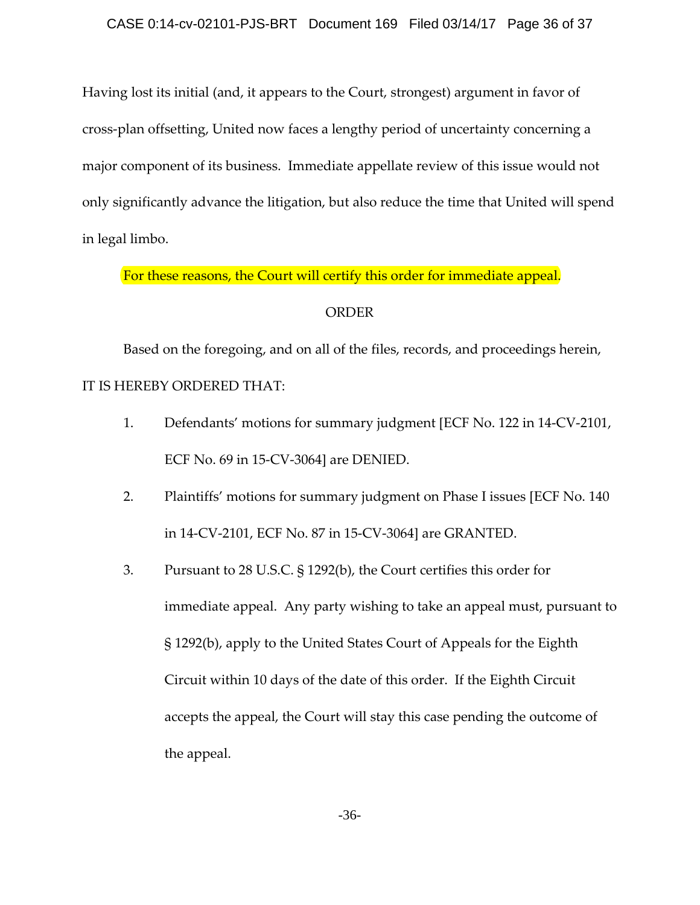Having lost its initial (and, it appears to the Court, strongest) argument in favor of cross‐plan offsetting, United now faces a lengthy period of uncertainty concerning a major component of its business. Immediate appellate review of this issue would not only significantly advance the litigation, but also reduce the time that United will spend in legal limbo.

For these reasons, the Court will certify this order for immediate appeal.

## ORDER

Based on the foregoing, and on all of the files, records, and proceedings herein, IT IS HEREBY ORDERED THAT:

- 1. Defendants' motions for summary judgment [ECF No. 122 in 14‐CV‐2101, ECF No. 69 in 15‐CV‐3064] are DENIED.
- 2. Plaintiffs' motions for summary judgment on Phase I issues [ECF No. 140 in 14‐CV‐2101, ECF No. 87 in 15‐CV‐3064] are GRANTED.
- 3. Pursuant to 28 U.S.C. § 1292(b), the Court certifies this order for immediate appeal. Any party wishing to take an appeal must, pursuant to § 1292(b), apply to the United States Court of Appeals for the Eighth Circuit within 10 days of the date of this order. If the Eighth Circuit accepts the appeal, the Court will stay this case pending the outcome of the appeal.